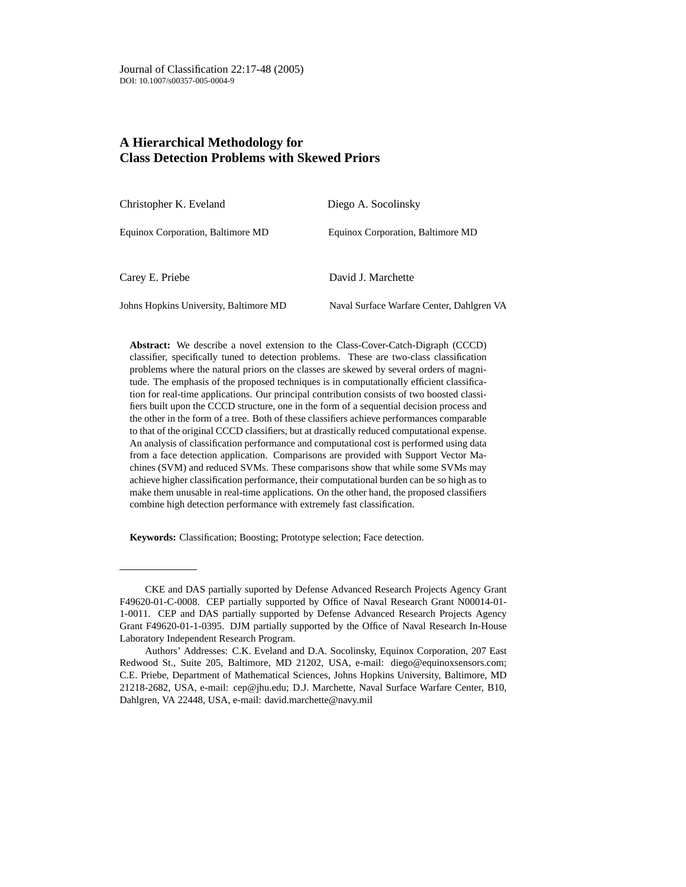# **A Hierarchical Methodology for Class Detection Problems with Skewed Priors**

| Christopher K. Eveland                 | Diego A. Socolinsky                       |
|----------------------------------------|-------------------------------------------|
| Equinox Corporation, Baltimore MD      | Equinox Corporation, Baltimore MD         |
| Carey E. Priebe                        | David J. Marchette                        |
| Johns Hopkins University, Baltimore MD | Naval Surface Warfare Center, Dahlgren VA |

**Abstract:** We describe a novel extension to the Class-Cover-Catch-Digraph (CCCD) classifier, specifically tuned to detection problems. These are two-class classification problems where the natural priors on the classes are skewed by several orders of magnitude. The emphasis of the proposed techniques is in computationally efficient classification for real-time applications. Our principal contribution consists of two boosted classifiers built upon the CCCD structure, one in the form of a sequential decision process and the other in the form of a tree. Both of these classifiers achieve performances comparable to that of the original CCCD classifiers, but at drastically reduced computational expense. An analysis of classification performance and computational cost is performed using data from a face detection application. Comparisons are provided with Support Vector Machines (SVM) and reduced SVMs. These comparisons show that while some SVMs may achieve higher classification performance, their computational burden can be so high as to make them unusable in real-time applications. On the other hand, the proposed classifiers combine high detection performance with extremely fast classification.

**Keywords:** Classification; Boosting; Prototype selection; Face detection.

CKE and DAS partially suported by Defense Advanced Research Projects Agency Grant F49620-01-C-0008. CEP partially supported by Office of Naval Research Grant N00014-01- 1-0011. CEP and DAS partially supported by Defense Advanced Research Projects Agency Grant F49620-01-1-0395. DJM partially supported by the Office of Naval Research In-House Laboratory Independent Research Program.

Authors' Addresses: C.K. Eveland and D.A. Socolinsky, Equinox Corporation, 207 East Redwood St., Suite 205, Baltimore, MD 21202, USA, e-mail: diego@equinoxsensors.com; C.E. Priebe, Department of Mathematical Sciences, Johns Hopkins University, Baltimore, MD 21218-2682, USA, e-mail: cep@jhu.edu; D.J. Marchette, Naval Surface Warfare Center, B10, Dahlgren, VA 22448, USA, e-mail: david.marchette@navy.mil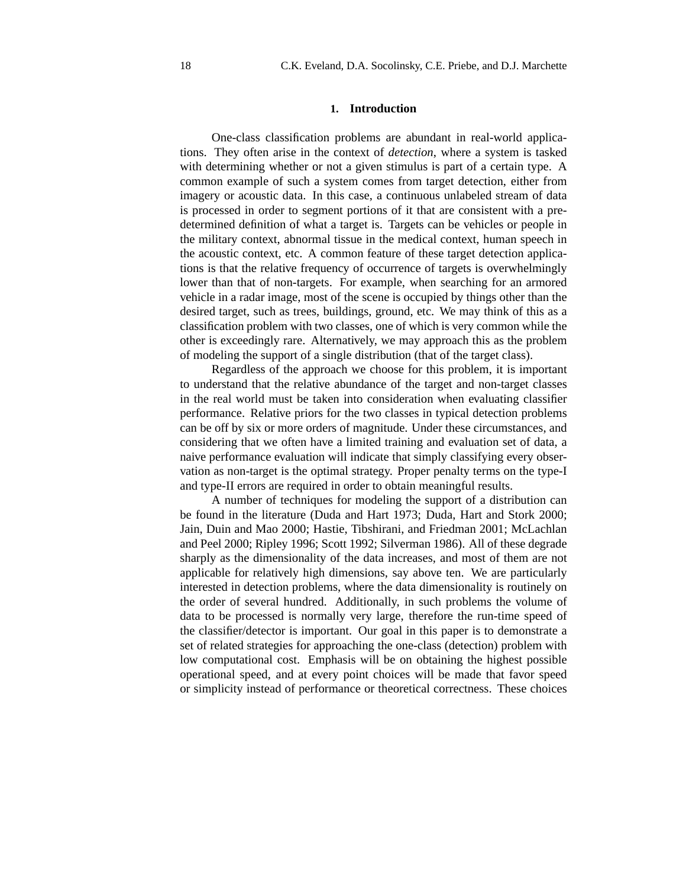### **1. Introduction**

One-class classification problems are abundant in real-world applications. They often arise in the context of *detection*, where a system is tasked with determining whether or not a given stimulus is part of a certain type. A common example of such a system comes from target detection, either from imagery or acoustic data. In this case, a continuous unlabeled stream of data is processed in order to segment portions of it that are consistent with a predetermined definition of what a target is. Targets can be vehicles or people in the military context, abnormal tissue in the medical context, human speech in the acoustic context, etc. A common feature of these target detection applications is that the relative frequency of occurrence of targets is overwhelmingly lower than that of non-targets. For example, when searching for an armored vehicle in a radar image, most of the scene is occupied by things other than the desired target, such as trees, buildings, ground, etc. We may think of this as a classification problem with two classes, one of which is very common while the other is exceedingly rare. Alternatively, we may approach this as the problem of modeling the support of a single distribution (that of the target class).

Regardless of the approach we choose for this problem, it is important to understand that the relative abundance of the target and non-target classes in the real world must be taken into consideration when evaluating classifier performance. Relative priors for the two classes in typical detection problems can be off by six or more orders of magnitude. Under these circumstances, and considering that we often have a limited training and evaluation set of data, a naive performance evaluation will indicate that simply classifying every observation as non-target is the optimal strategy. Proper penalty terms on the type-I and type-II errors are required in order to obtain meaningful results.

A number of techniques for modeling the support of a distribution can be found in the literature (Duda and Hart 1973; Duda, Hart and Stork 2000; Jain, Duin and Mao 2000; Hastie, Tibshirani, and Friedman 2001; McLachlan and Peel 2000; Ripley 1996; Scott 1992; Silverman 1986). All of these degrade sharply as the dimensionality of the data increases, and most of them are not applicable for relatively high dimensions, say above ten. We are particularly interested in detection problems, where the data dimensionality is routinely on the order of several hundred. Additionally, in such problems the volume of data to be processed is normally very large, therefore the run-time speed of the classifier/detector is important. Our goal in this paper is to demonstrate a set of related strategies for approaching the one-class (detection) problem with low computational cost. Emphasis will be on obtaining the highest possible operational speed, and at every point choices will be made that favor speed or simplicity instead of performance or theoretical correctness. These choices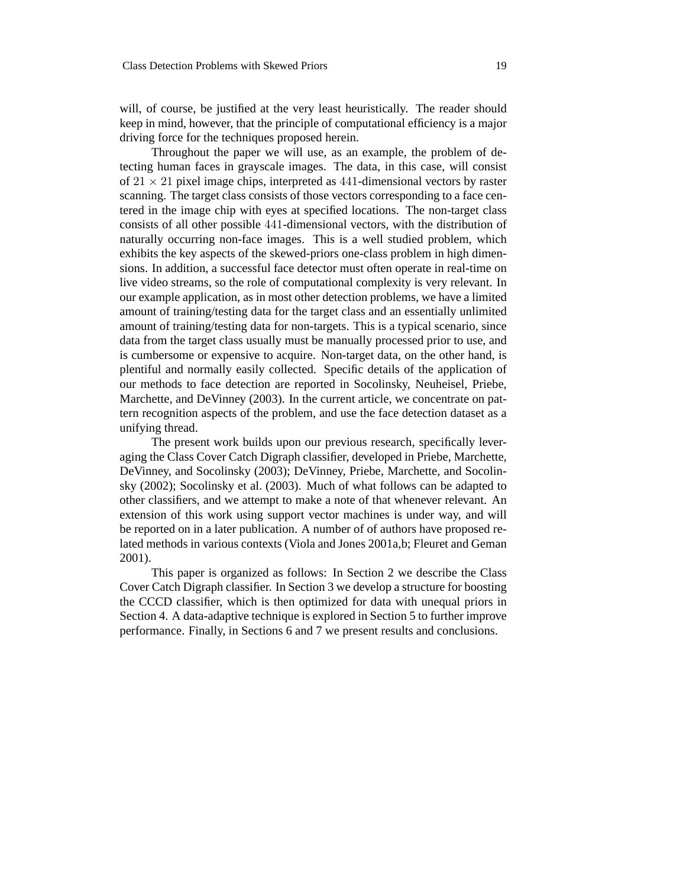will, of course, be justified at the very least heuristically. The reader should keep in mind, however, that the principle of computational efficiency is a major driving force for the techniques proposed herein.

Throughout the paper we will use, as an example, the problem of detecting human faces in grayscale images. The data, in this case, will consist of  $21 \times 21$  pixel image chips, interpreted as 441-dimensional vectors by raster scanning. The target class consists of those vectors corresponding to a face centered in the image chip with eyes at specified locations. The non-target class consists of all other possible 441-dimensional vectors, with the distribution of naturally occurring non-face images. This is a well studied problem, which exhibits the key aspects of the skewed-priors one-class problem in high dimensions. In addition, a successful face detector must often operate in real-time on live video streams, so the role of computational complexity is very relevant. In our example application, as in most other detection problems, we have a limited amount of training/testing data for the target class and an essentially unlimited amount of training/testing data for non-targets. This is a typical scenario, since data from the target class usually must be manually processed prior to use, and is cumbersome or expensive to acquire. Non-target data, on the other hand, is plentiful and normally easily collected. Specific details of the application of our methods to face detection are reported in Socolinsky, Neuheisel, Priebe, Marchette, and DeVinney (2003). In the current article, we concentrate on pattern recognition aspects of the problem, and use the face detection dataset as a unifying thread.

The present work builds upon our previous research, specifically leveraging the Class Cover Catch Digraph classifier, developed in Priebe, Marchette, DeVinney, and Socolinsky (2003); DeVinney, Priebe, Marchette, and Socolinsky (2002); Socolinsky et al. (2003). Much of what follows can be adapted to other classifiers, and we attempt to make a note of that whenever relevant. An extension of this work using support vector machines is under way, and will be reported on in a later publication. A number of of authors have proposed related methods in various contexts (Viola and Jones 2001a,b; Fleuret and Geman 2001).

This paper is organized as follows: In Section 2 we describe the Class Cover Catch Digraph classifier. In Section 3 we develop a structure for boosting the CCCD classifier, which is then optimized for data with unequal priors in Section 4. A data-adaptive technique is explored in Section 5 to further improve performance. Finally, in Sections 6 and 7 we present results and conclusions.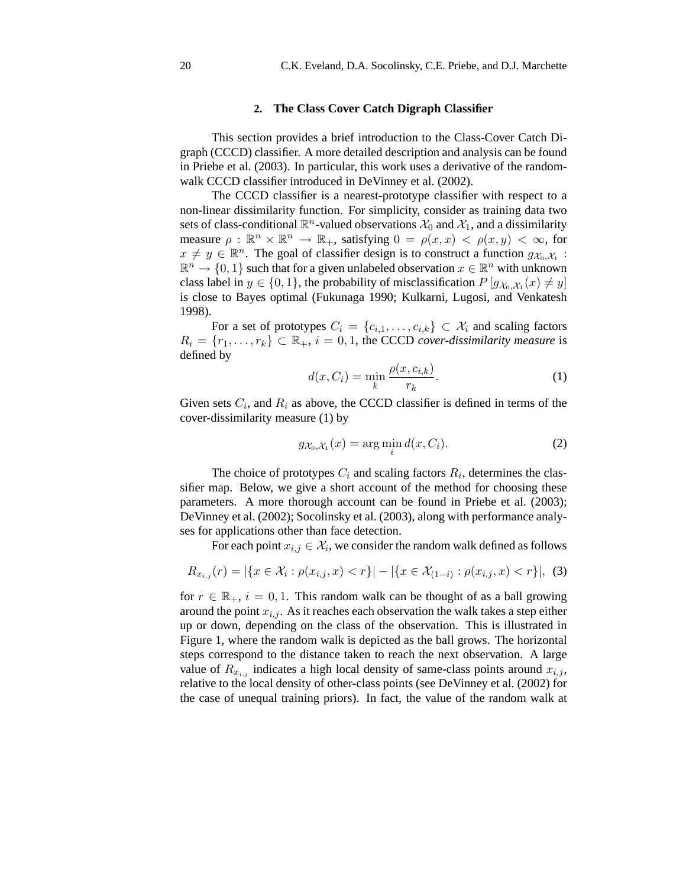### **2. The Class Cover Catch Digraph Classifier**

This section provides a brief introduction to the Class-Cover Catch Digraph (CCCD) classifier. A more detailed description and analysis can be found in Priebe et al. (2003). In particular, this work uses a derivative of the randomwalk CCCD classifier introduced in DeVinney et al. (2002).

The CCCD classifier is a nearest-prototype classifier with respect to a non-linear dissimilarity function. For simplicity, consider as training data two sets of class-conditional  $\mathbb{R}^n$ -valued observations  $\mathcal{X}_0$  and  $\mathcal{X}_1$ , and a dissimilarity measure  $\rho : \mathbb{R}^n \times \mathbb{R}^n \to \mathbb{R}_+$ , satisfying  $0 = \rho(x, x) < \rho(x, y) < \infty$ , for  $x \neq y \in \mathbb{R}^n$ . The goal of classifier design is to construct a function  $g_{\mathcal{X}_0,\mathcal{X}_1}$ :  $\mathbb{R}^n \to \{0,1\}$  such that for a given unlabeled observation  $x \in \mathbb{R}^n$  with unknown class label in  $y \in \{0, 1\}$ , the probability of misclassification  $P[g_{\mathcal{X}_0}, \chi_1(x) \neq y]$ is close to Bayes optimal (Fukunaga 1990; Kulkarni, Lugosi, and Venkatesh 1998).

For a set of prototypes  $C_i = \{c_{i,1}, \ldots, c_{i,k}\} \subset \mathcal{X}_i$  and scaling factors  $R_i = \{r_1, \ldots, r_k\} \subset \mathbb{R}_+, i = 0, 1$ , the CCCD *cover-dissimilarity measure* is defined by

$$
d(x, C_i) = \min_k \frac{\rho(x, c_{i,k})}{r_k}.
$$
 (1)

Given sets  $C_i$ , and  $R_i$  as above, the CCCD classifier is defined in terms of the cover-dissimilarity measure (1) by

$$
g_{\mathcal{X}_0,\mathcal{X}_1}(x) = \arg\min_i d(x, C_i).
$$
 (2)

The choice of prototypes  $C_i$  and scaling factors  $R_i$ , determines the classifier map. Below, we give a short account of the method for choosing these parameters. A more thorough account can be found in Priebe et al. (2003); DeVinney et al. (2002); Socolinsky et al. (2003), along with performance analyses for applications other than face detection.

For each point  $x_{i,j} \in \mathcal{X}_i$ , we consider the random walk defined as follows

$$
R_{x_{i,j}}(r) = |\{x \in \mathcal{X}_i : \rho(x_{i,j}, x) < r\}| - |\{x \in \mathcal{X}_{(1-i)} : \rho(x_{i,j}, x) < r\}|, \tag{3}
$$

for  $r \in \mathbb{R}_+$ ,  $i = 0, 1$ . This random walk can be thought of as a ball growing around the point  $x_{i,j}$ . As it reaches each observation the walk takes a step either up or down, depending on the class of the observation. This is illustrated in Figure 1, where the random walk is depicted as the ball grows. The horizontal steps correspond to the distance taken to reach the next observation. A large value of  $R_{x_{i,j}}$  indicates a high local density of same-class points around  $x_{i,j}$ , relative to the local density of other-class points (see DeVinney et al. (2002) for the case of unequal training priors). In fact, the value of the random walk at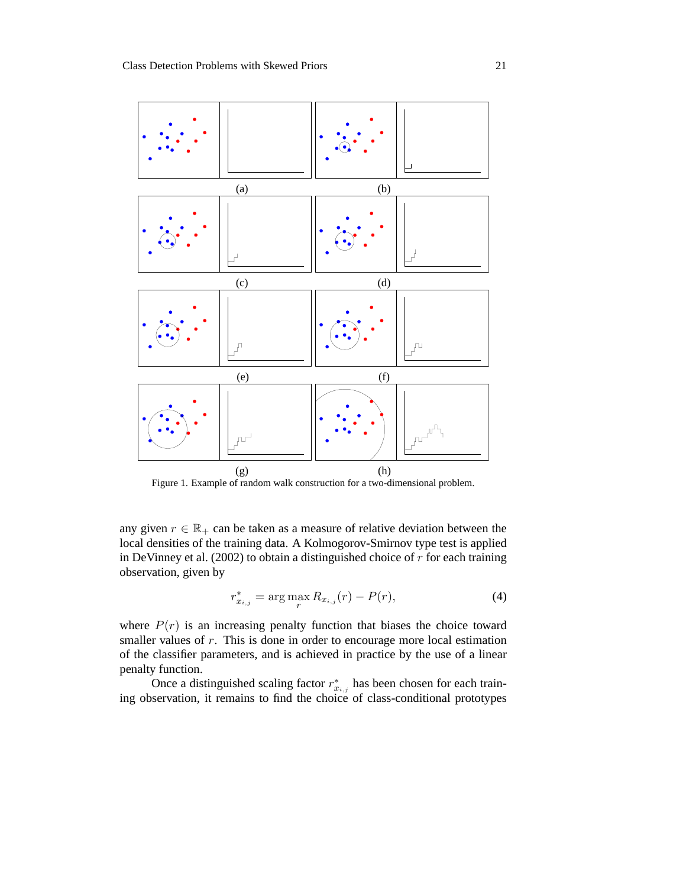

Figure 1. Example of random walk construction for a two-dimensional problem.

any given  $r \in \mathbb{R}_+$  can be taken as a measure of relative deviation between the local densities of the training data. A Kolmogorov-Smirnov type test is applied in DeVinney et al. (2002) to obtain a distinguished choice of  $r$  for each training observation, given by

$$
r_{x_{i,j}}^* = \arg\max_r R_{x_{i,j}}(r) - P(r),
$$
\n(4)

where  $P(r)$  is an increasing penalty function that biases the choice toward smaller values of r. This is done in order to encourage more local estimation of the classifier parameters, and is achieved in practice by the use of a linear penalty function.

Once a distinguished scaling factor  $r_x^*$  $x_{i,j}$  has been chosen for each training observation, it remains to find the choice of class-conditional prototypes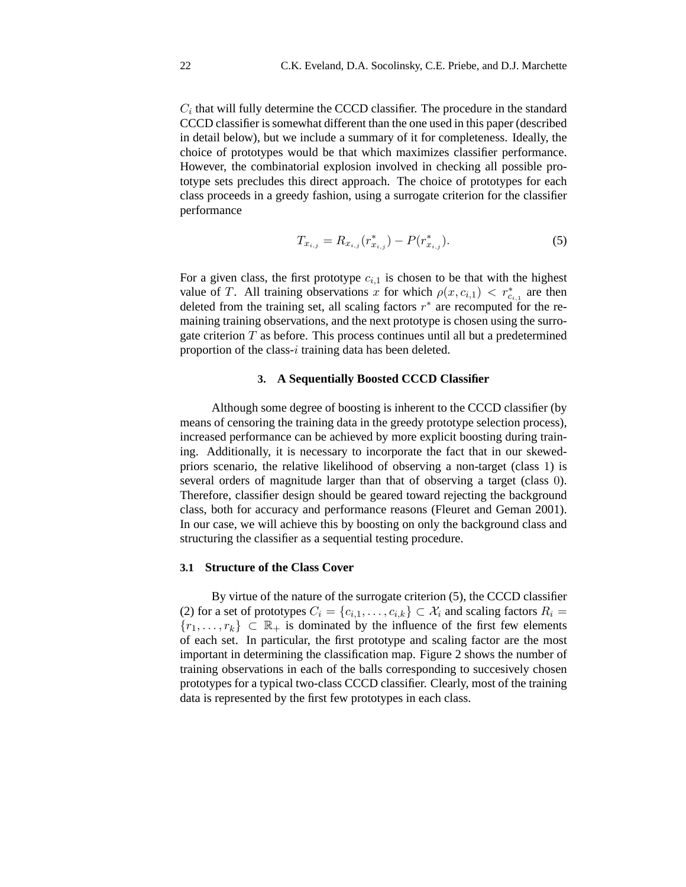$C_i$  that will fully determine the CCCD classifier. The procedure in the standard CCCD classifier is somewhat different than the one used in this paper (described in detail below), but we include a summary of it for completeness. Ideally, the choice of prototypes would be that which maximizes classifier performance. However, the combinatorial explosion involved in checking all possible prototype sets precludes this direct approach. The choice of prototypes for each class proceeds in a greedy fashion, using a surrogate criterion for the classifier performance

$$
T_{x_{i,j}} = R_{x_{i,j}}(r_{x_{i,j}}^*) - P(r_{x_{i,j}}^*).
$$
\n(5)

For a given class, the first prototype  $c_{i,1}$  is chosen to be that with the highest value of T. All training observations x for which  $\rho(x, c_{i,1}) < r_{c_{i,1}}^*$  are then deleted from the training set, all scaling factors  $r^*$  are recomputed for the remaining training observations, and the next prototype is chosen using the surrogate criterion  $T$  as before. This process continues until all but a predetermined proportion of the class- $i$  training data has been deleted.

## **3. A Sequentially Boosted CCCD Classifier**

Although some degree of boosting is inherent to the CCCD classifier (by means of censoring the training data in the greedy prototype selection process), increased performance can be achieved by more explicit boosting during training. Additionally, it is necessary to incorporate the fact that in our skewedpriors scenario, the relative likelihood of observing a non-target (class 1) is several orders of magnitude larger than that of observing a target (class 0). Therefore, classifier design should be geared toward rejecting the background class, both for accuracy and performance reasons (Fleuret and Geman 2001). In our case, we will achieve this by boosting on only the background class and structuring the classifier as a sequential testing procedure.

## **3.1 Structure of the Class Cover**

By virtue of the nature of the surrogate criterion (5), the CCCD classifier (2) for a set of prototypes  $C_i = \{c_{i,1}, \ldots, c_{i,k}\} \subset \mathcal{X}_i$  and scaling factors  $R_i =$  ${r_1, \ldots, r_k} \subset \mathbb{R}_+$  is dominated by the influence of the first few elements of each set. In particular, the first prototype and scaling factor are the most important in determining the classification map. Figure 2 shows the number of training observations in each of the balls corresponding to succesively chosen prototypes for a typical two-class CCCD classifier. Clearly, most of the training data is represented by the first few prototypes in each class.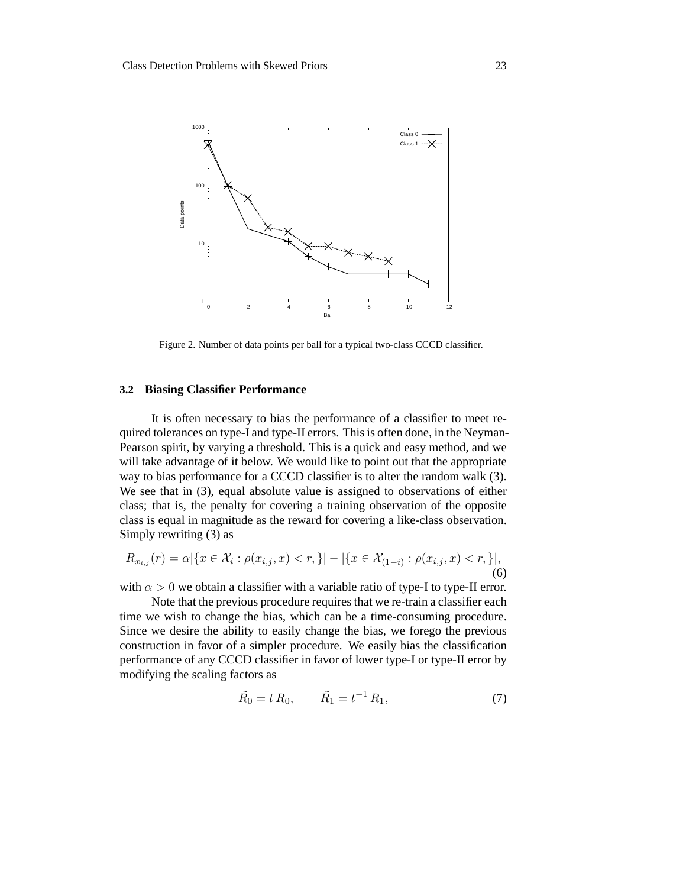

Figure 2. Number of data points per ball for a typical two-class CCCD classifier.

### **3.2 Biasing Classifier Performance**

It is often necessary to bias the performance of a classifier to meet required tolerances on type-I and type-II errors. This is often done, in the Neyman-Pearson spirit, by varying a threshold. This is a quick and easy method, and we will take advantage of it below. We would like to point out that the appropriate way to bias performance for a CCCD classifier is to alter the random walk (3). We see that in (3), equal absolute value is assigned to observations of either class; that is, the penalty for covering a training observation of the opposite class is equal in magnitude as the reward for covering a like-class observation. Simply rewriting (3) as

$$
R_{x_{i,j}}(r) = \alpha |\{x \in \mathcal{X}_i : \rho(x_{i,j}, x) < r, \}| - |\{x \in \mathcal{X}_{(1-i)} : \rho(x_{i,j}, x) < r, \}|,\tag{6}
$$

with  $\alpha > 0$  we obtain a classifier with a variable ratio of type-I to type-II error.

Note that the previous procedure requires that we re-train a classifier each time we wish to change the bias, which can be a time-consuming procedure. Since we desire the ability to easily change the bias, we forego the previous construction in favor of a simpler procedure. We easily bias the classification performance of any CCCD classifier in favor of lower type-I or type-II error by modifying the scaling factors as

$$
\tilde{R_0} = t R_0, \qquad \tilde{R_1} = t^{-1} R_1,\tag{7}
$$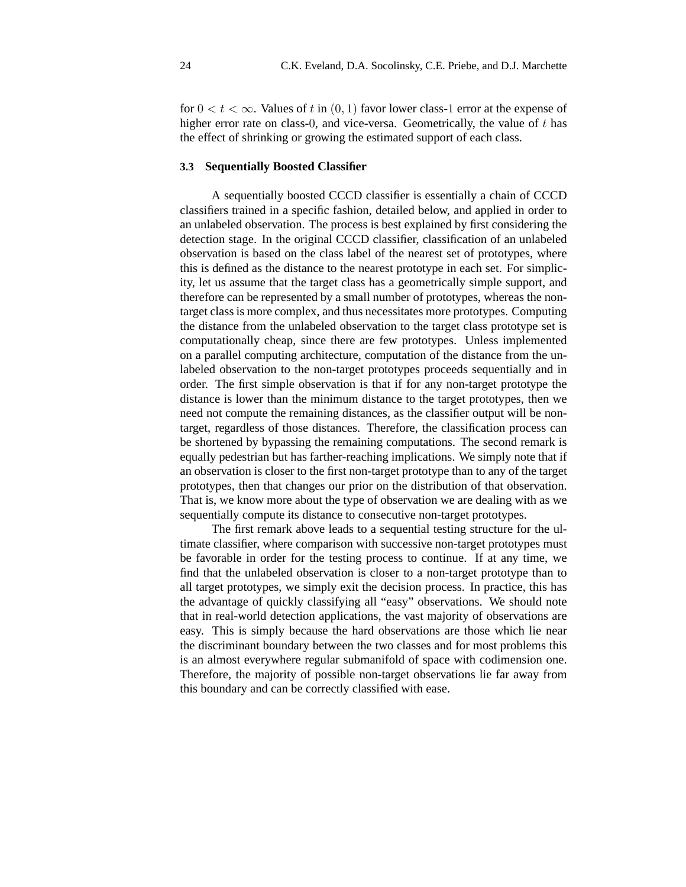for  $0 < t < \infty$ . Values of t in  $(0, 1)$  favor lower class-1 error at the expense of higher error rate on class-0, and vice-versa. Geometrically, the value of t has the effect of shrinking or growing the estimated support of each class.

## **3.3 Sequentially Boosted Classifier**

A sequentially boosted CCCD classifier is essentially a chain of CCCD classifiers trained in a specific fashion, detailed below, and applied in order to an unlabeled observation. The process is best explained by first considering the detection stage. In the original CCCD classifier, classification of an unlabeled observation is based on the class label of the nearest set of prototypes, where this is defined as the distance to the nearest prototype in each set. For simplicity, let us assume that the target class has a geometrically simple support, and therefore can be represented by a small number of prototypes, whereas the nontarget class is more complex, and thus necessitates more prototypes. Computing the distance from the unlabeled observation to the target class prototype set is computationally cheap, since there are few prototypes. Unless implemented on a parallel computing architecture, computation of the distance from the unlabeled observation to the non-target prototypes proceeds sequentially and in order. The first simple observation is that if for any non-target prototype the distance is lower than the minimum distance to the target prototypes, then we need not compute the remaining distances, as the classifier output will be nontarget, regardless of those distances. Therefore, the classification process can be shortened by bypassing the remaining computations. The second remark is equally pedestrian but has farther-reaching implications. We simply note that if an observation is closer to the first non-target prototype than to any of the target prototypes, then that changes our prior on the distribution of that observation. That is, we know more about the type of observation we are dealing with as we sequentially compute its distance to consecutive non-target prototypes.

The first remark above leads to a sequential testing structure for the ultimate classifier, where comparison with successive non-target prototypes must be favorable in order for the testing process to continue. If at any time, we find that the unlabeled observation is closer to a non-target prototype than to all target prototypes, we simply exit the decision process. In practice, this has the advantage of quickly classifying all "easy" observations. We should note that in real-world detection applications, the vast majority of observations are easy. This is simply because the hard observations are those which lie near the discriminant boundary between the two classes and for most problems this is an almost everywhere regular submanifold of space with codimension one. Therefore, the majority of possible non-target observations lie far away from this boundary and can be correctly classified with ease.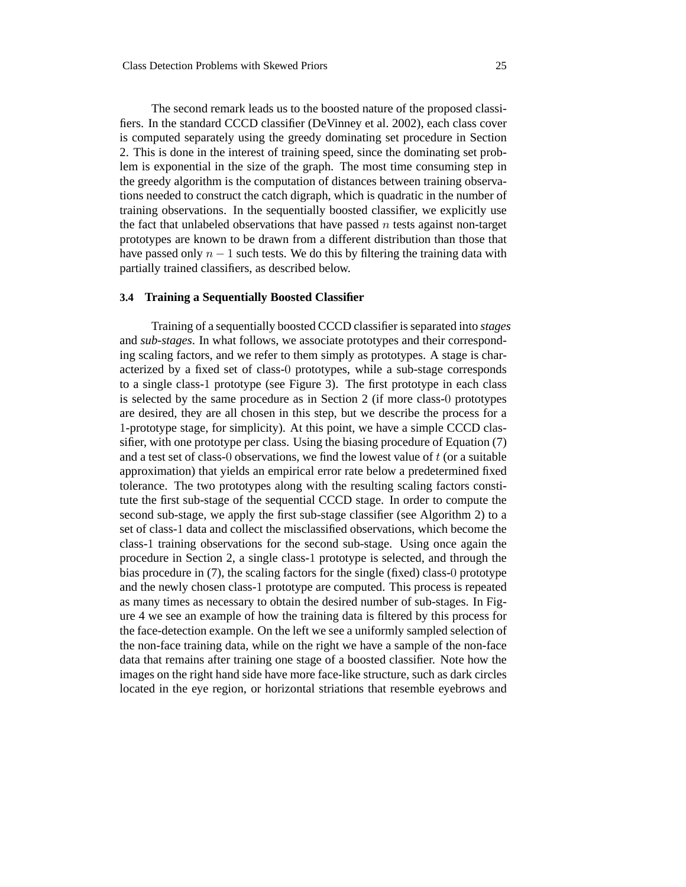The second remark leads us to the boosted nature of the proposed classifiers. In the standard CCCD classifier (DeVinney et al. 2002), each class cover is computed separately using the greedy dominating set procedure in Section 2. This is done in the interest of training speed, since the dominating set problem is exponential in the size of the graph. The most time consuming step in the greedy algorithm is the computation of distances between training observations needed to construct the catch digraph, which is quadratic in the number of training observations. In the sequentially boosted classifier, we explicitly use the fact that unlabeled observations that have passed  $n$  tests against non-target prototypes are known to be drawn from a different distribution than those that have passed only  $n - 1$  such tests. We do this by filtering the training data with partially trained classifiers, as described below.

### **3.4 Training a Sequentially Boosted Classifier**

Training of a sequentially boosted CCCD classifier is separated into *stages* and *sub-stages*. In what follows, we associate prototypes and their corresponding scaling factors, and we refer to them simply as prototypes. A stage is characterized by a fixed set of class-0 prototypes, while a sub-stage corresponds to a single class-1 prototype (see Figure 3). The first prototype in each class is selected by the same procedure as in Section 2 (if more class-0 prototypes are desired, they are all chosen in this step, but we describe the process for a 1-prototype stage, for simplicity). At this point, we have a simple CCCD classifier, with one prototype per class. Using the biasing procedure of Equation (7) and a test set of class-0 observations, we find the lowest value of t (or a suitable approximation) that yields an empirical error rate below a predetermined fixed tolerance. The two prototypes along with the resulting scaling factors constitute the first sub-stage of the sequential CCCD stage. In order to compute the second sub-stage, we apply the first sub-stage classifier (see Algorithm 2) to a set of class-1 data and collect the misclassified observations, which become the class-1 training observations for the second sub-stage. Using once again the procedure in Section 2, a single class-1 prototype is selected, and through the bias procedure in (7), the scaling factors for the single (fixed) class-0 prototype and the newly chosen class-1 prototype are computed. This process is repeated as many times as necessary to obtain the desired number of sub-stages. In Figure 4 we see an example of how the training data is filtered by this process for the face-detection example. On the left we see a uniformly sampled selection of the non-face training data, while on the right we have a sample of the non-face data that remains after training one stage of a boosted classifier. Note how the images on the right hand side have more face-like structure, such as dark circles located in the eye region, or horizontal striations that resemble eyebrows and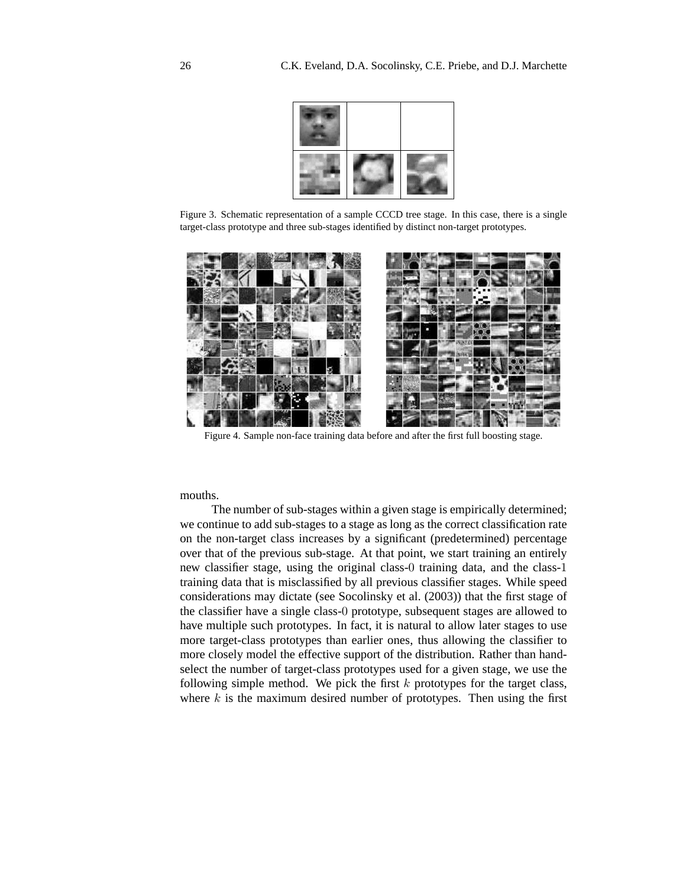

Figure 3. Schematic representation of a sample CCCD tree stage. In this case, there is a single target-class prototype and three sub-stages identified by distinct non-target prototypes.



Figure 4. Sample non-face training data before and after the first full boosting stage.

mouths.

The number of sub-stages within a given stage is empirically determined; we continue to add sub-stages to a stage as long as the correct classification rate on the non-target class increases by a significant (predetermined) percentage over that of the previous sub-stage. At that point, we start training an entirely new classifier stage, using the original class-0 training data, and the class-1 training data that is misclassified by all previous classifier stages. While speed considerations may dictate (see Socolinsky et al. (2003)) that the first stage of the classifier have a single class-0 prototype, subsequent stages are allowed to have multiple such prototypes. In fact, it is natural to allow later stages to use more target-class prototypes than earlier ones, thus allowing the classifier to more closely model the effective support of the distribution. Rather than handselect the number of target-class prototypes used for a given stage, we use the following simple method. We pick the first  $k$  prototypes for the target class, where  $k$  is the maximum desired number of prototypes. Then using the first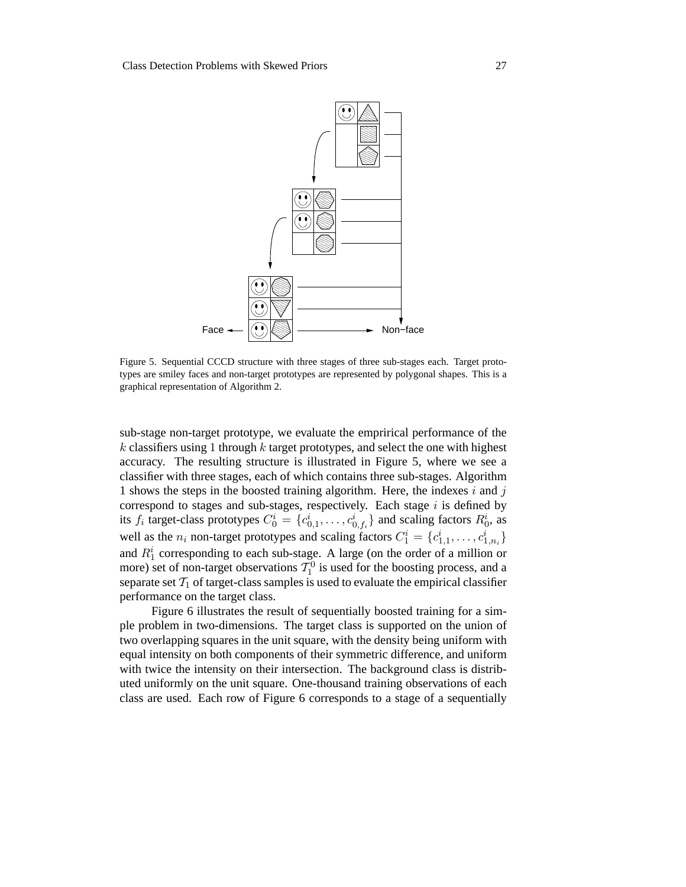

Figure 5. Sequential CCCD structure with three stages of three sub-stages each. Target prototypes are smiley faces and non-target prototypes are represented by polygonal shapes. This is a graphical representation of Algorithm 2.

sub-stage non-target prototype, we evaluate the emprirical performance of the  $k$  classifiers using 1 through  $k$  target prototypes, and select the one with highest accuracy. The resulting structure is illustrated in Figure 5, where we see a classifier with three stages, each of which contains three sub-stages. Algorithm 1 shows the steps in the boosted training algorithm. Here, the indexes  $i$  and  $j$ correspond to stages and sub-stages, respectively. Each stage  $i$  is defined by its  $f_i$  target-class prototypes  $C_0^i = \{c_{0,1}^i, \dots, c_{0,f_i}^i\}$  and scaling factors  $R_0^i$ , as well as the  $n_i$  non-target prototypes and scaling factors  $C_1^i = \{c_{1,1}^i, \ldots, c_{1,n_i}^i\}$ and  $R_1^i$  corresponding to each sub-stage. A large (on the order of a million or more) set of non-target observations  $\mathcal{T}_1^0$  is used for the boosting process, and a separate set  $\mathcal{T}_1$  of target-class samples is used to evaluate the empirical classifier performance on the target class.

Figure 6 illustrates the result of sequentially boosted training for a simple problem in two-dimensions. The target class is supported on the union of two overlapping squares in the unit square, with the density being uniform with equal intensity on both components of their symmetric difference, and uniform with twice the intensity on their intersection. The background class is distributed uniformly on the unit square. One-thousand training observations of each class are used. Each row of Figure 6 corresponds to a stage of a sequentially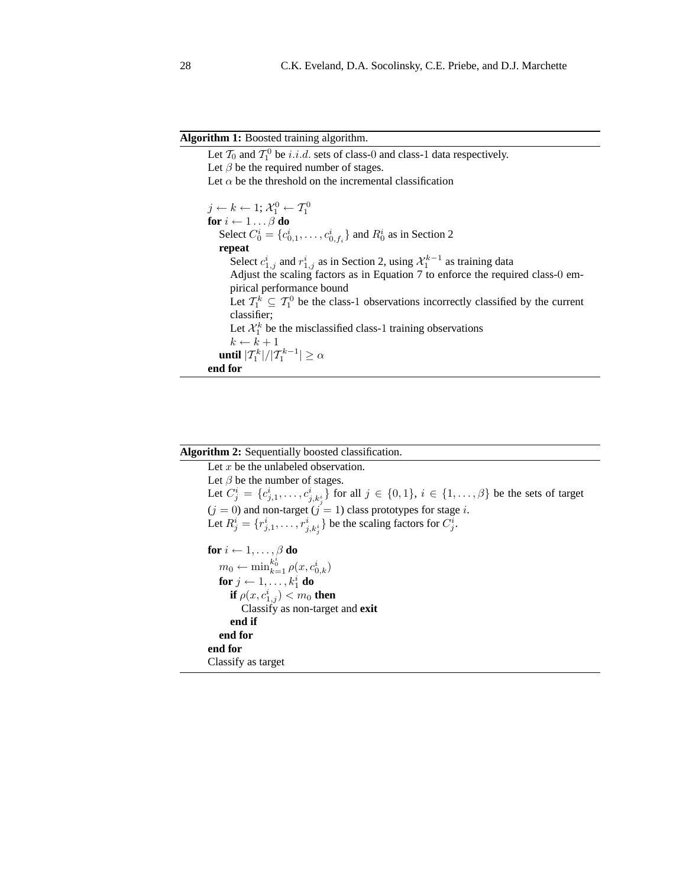#### **Algorithm 1:** Boosted training algorithm.

Let  $\mathcal{T}_0$  and  $\mathcal{T}_1^0$  be *i.i.d.* sets of class-0 and class-1 data respectively. Let  $\beta$  be the required number of stages. Let  $\alpha$  be the threshold on the incremental classification  $j \leftarrow k \leftarrow 1; \mathcal{X}_1^0 \leftarrow \mathcal{T}_1^0$ **for**  $i \leftarrow 1 \dots \beta$  **do** Select  $C_0^i = \{c_{0,1}^i, \dots, c_{0,f_i}^i\}$  and  $R_0^i$  as in Section 2 **repeat** Select  $c_{1,j}^i$  and  $r_{1,j}^i$  as in Section 2, using  $\mathcal{X}_1^{k-1}$  as training data Adjust the scaling factors as in Equation 7 to enforce the required class-0 empirical performance bound Let  $\mathcal{T}_1^k \subseteq \mathcal{T}_1^0$  be the class-1 observations incorrectly classified by the current classifier; Let  $\mathcal{X}_1^k$  be the misclassified class-1 training observations  $k \leftarrow \bar{k} + 1$ **until**  $|T_1^k|/|T_1^{k-1}| \ge \alpha$ **end for**

#### **Algorithm 2:** Sequentially boosted classification.

Let  $x$  be the unlabeled observation. Let  $\beta$  be the number of stages. Let  $C_j^i = \{c_{j,1}^i, \ldots, c_{j,k_j^i}^i\}$  for all  $j \in \{0,1\}, i \in \{1, \ldots, \beta\}$  be the sets of target  $(j = 0)$  and non-target  $(j = 1)$  class prototypes for stage i. Let  $R_j^i = \{r_{j,1}^i, \ldots, r_{j,k_j^i}^i\}$  be the scaling factors for  $C_j^i$ . **for**  $i \leftarrow 1, \ldots, \beta$  **do**  $m_0 \leftarrow \min_{k=1}^{k_0^i} \rho(x, c_{0,k}^i)$ for  $j \leftarrow 1, \ldots, k_1^i$  do **if**  $\rho(x, c_{1,j}^i) < m_0$  **then** Classify as non-target and **exit**

**end if end for end for**

Classify as target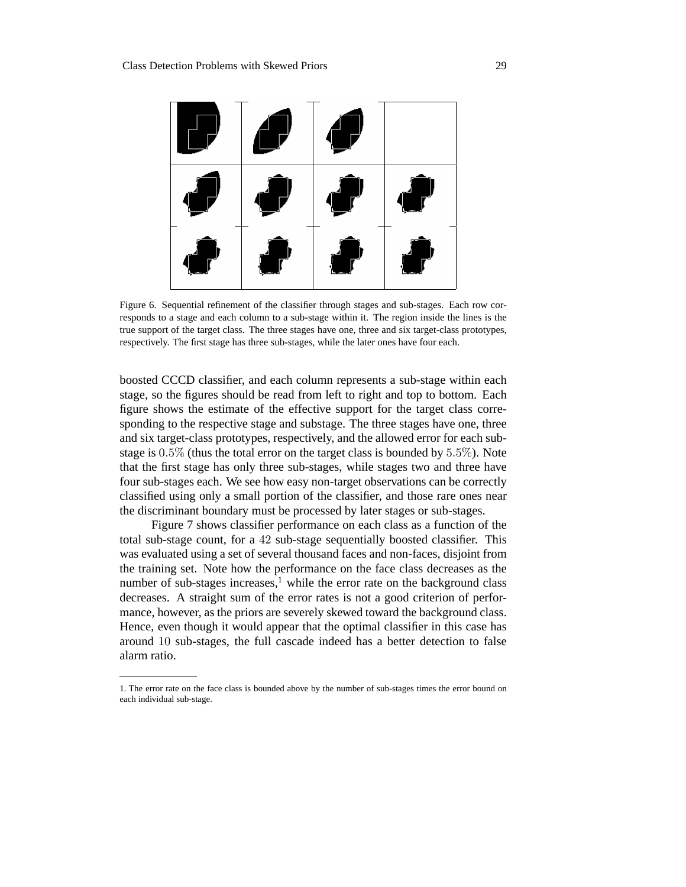

Figure 6. Sequential refinement of the classifier through stages and sub-stages. Each row corresponds to a stage and each column to a sub-stage within it. The region inside the lines is the true support of the target class. The three stages have one, three and six target-class prototypes, respectively. The first stage has three sub-stages, while the later ones have four each.

boosted CCCD classifier, and each column represents a sub-stage within each stage, so the figures should be read from left to right and top to bottom. Each figure shows the estimate of the effective support for the target class corresponding to the respective stage and substage. The three stages have one, three and six target-class prototypes, respectively, and the allowed error for each substage is  $0.5\%$  (thus the total error on the target class is bounded by  $5.5\%$ ). Note that the first stage has only three sub-stages, while stages two and three have four sub-stages each. We see how easy non-target observations can be correctly classified using only a small portion of the classifier, and those rare ones near the discriminant boundary must be processed by later stages or sub-stages.

Figure 7 shows classifier performance on each class as a function of the total sub-stage count, for a 42 sub-stage sequentially boosted classifier. This was evaluated using a set of several thousand faces and non-faces, disjoint from the training set. Note how the performance on the face class decreases as the number of sub-stages increases, $\frac{1}{1}$  while the error rate on the background class decreases. A straight sum of the error rates is not a good criterion of performance, however, as the priors are severely skewed toward the background class. Hence, even though it would appear that the optimal classifier in this case has around 10 sub-stages, the full cascade indeed has a better detection to false alarm ratio.

<sup>1.</sup> The error rate on the face class is bounded above by the number of sub-stages times the error bound on each individual sub-stage.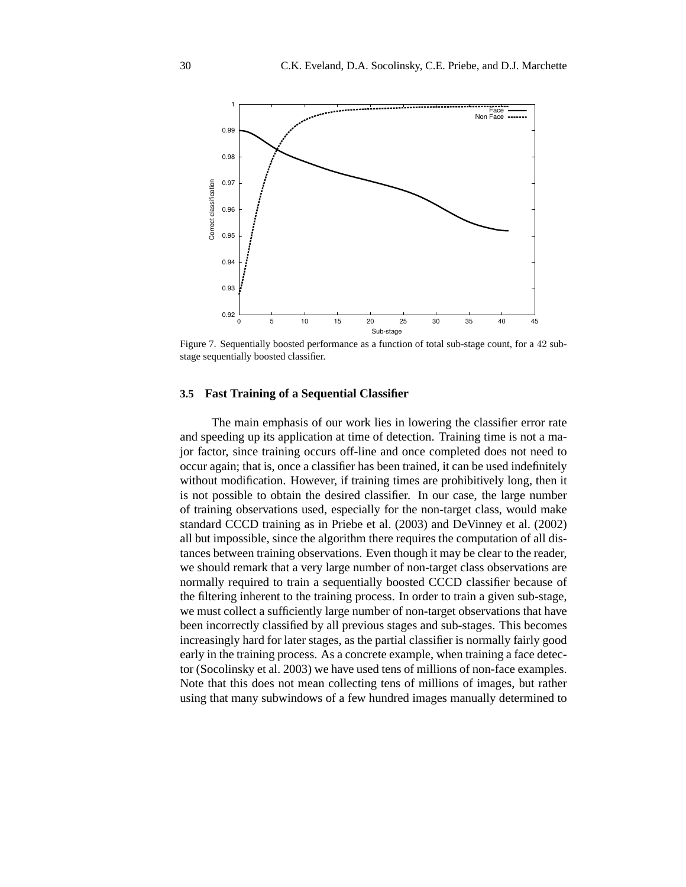

Figure 7. Sequentially boosted performance as a function of total sub-stage count, for a 42 substage sequentially boosted classifier.

## **3.5 Fast Training of a Sequential Classifier**

The main emphasis of our work lies in lowering the classifier error rate and speeding up its application at time of detection. Training time is not a major factor, since training occurs off-line and once completed does not need to occur again; that is, once a classifier has been trained, it can be used indefinitely without modification. However, if training times are prohibitively long, then it is not possible to obtain the desired classifier. In our case, the large number of training observations used, especially for the non-target class, would make standard CCCD training as in Priebe et al. (2003) and DeVinney et al. (2002) all but impossible, since the algorithm there requires the computation of all distances between training observations. Even though it may be clear to the reader, we should remark that a very large number of non-target class observations are normally required to train a sequentially boosted CCCD classifier because of the filtering inherent to the training process. In order to train a given sub-stage, we must collect a sufficiently large number of non-target observations that have been incorrectly classified by all previous stages and sub-stages. This becomes increasingly hard for later stages, as the partial classifier is normally fairly good early in the training process. As a concrete example, when training a face detector (Socolinsky et al. 2003) we have used tens of millions of non-face examples. Note that this does not mean collecting tens of millions of images, but rather using that many subwindows of a few hundred images manually determined to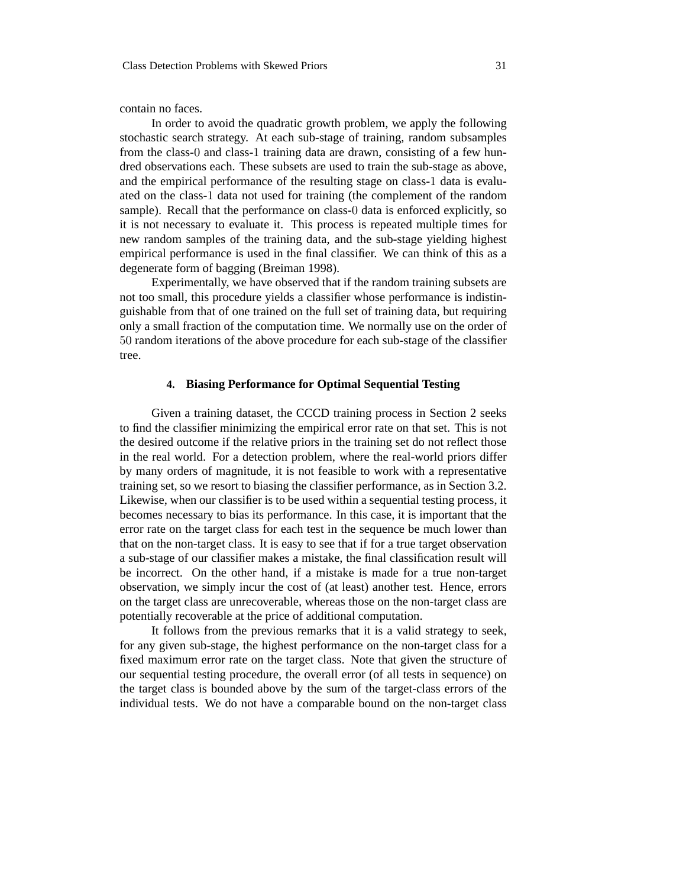contain no faces.

In order to avoid the quadratic growth problem, we apply the following stochastic search strategy. At each sub-stage of training, random subsamples from the class-0 and class-1 training data are drawn, consisting of a few hundred observations each. These subsets are used to train the sub-stage as above, and the empirical performance of the resulting stage on class-1 data is evaluated on the class-1 data not used for training (the complement of the random sample). Recall that the performance on class-0 data is enforced explicitly, so it is not necessary to evaluate it. This process is repeated multiple times for new random samples of the training data, and the sub-stage yielding highest empirical performance is used in the final classifier. We can think of this as a degenerate form of bagging (Breiman 1998).

Experimentally, we have observed that if the random training subsets are not too small, this procedure yields a classifier whose performance is indistinguishable from that of one trained on the full set of training data, but requiring only a small fraction of the computation time. We normally use on the order of 50 random iterations of the above procedure for each sub-stage of the classifier tree.

## **4. Biasing Performance for Optimal Sequential Testing**

Given a training dataset, the CCCD training process in Section 2 seeks to find the classifier minimizing the empirical error rate on that set. This is not the desired outcome if the relative priors in the training set do not reflect those in the real world. For a detection problem, where the real-world priors differ by many orders of magnitude, it is not feasible to work with a representative training set, so we resort to biasing the classifier performance, as in Section 3.2. Likewise, when our classifier is to be used within a sequential testing process, it becomes necessary to bias its performance. In this case, it is important that the error rate on the target class for each test in the sequence be much lower than that on the non-target class. It is easy to see that if for a true target observation a sub-stage of our classifier makes a mistake, the final classification result will be incorrect. On the other hand, if a mistake is made for a true non-target observation, we simply incur the cost of (at least) another test. Hence, errors on the target class are unrecoverable, whereas those on the non-target class are potentially recoverable at the price of additional computation.

It follows from the previous remarks that it is a valid strategy to seek, for any given sub-stage, the highest performance on the non-target class for a fixed maximum error rate on the target class. Note that given the structure of our sequential testing procedure, the overall error (of all tests in sequence) on the target class is bounded above by the sum of the target-class errors of the individual tests. We do not have a comparable bound on the non-target class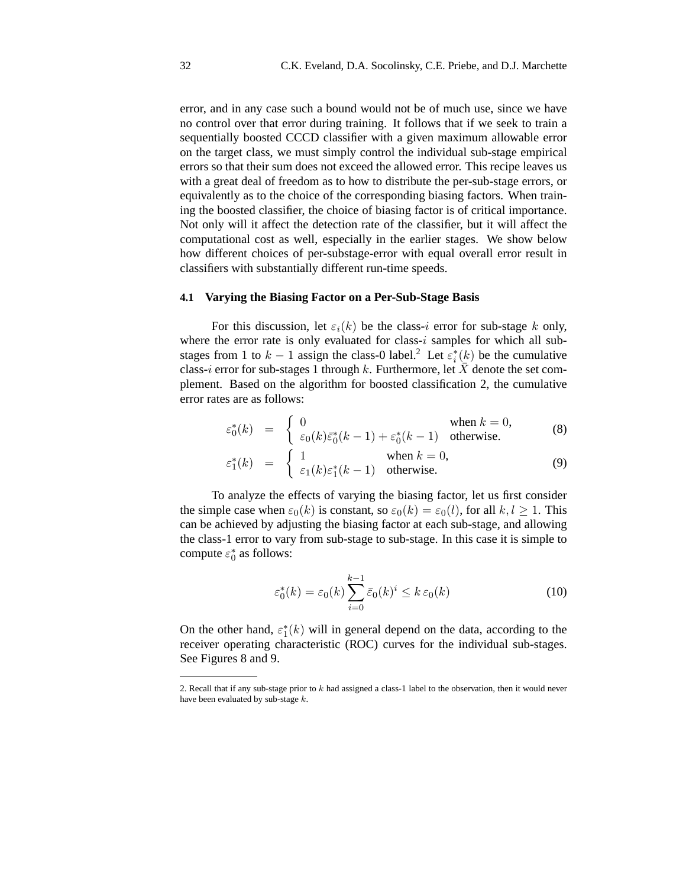error, and in any case such a bound would not be of much use, since we have no control over that error during training. It follows that if we seek to train a sequentially boosted CCCD classifier with a given maximum allowable error on the target class, we must simply control the individual sub-stage empirical errors so that their sum does not exceed the allowed error. This recipe leaves us with a great deal of freedom as to how to distribute the per-sub-stage errors, or equivalently as to the choice of the corresponding biasing factors. When training the boosted classifier, the choice of biasing factor is of critical importance. Not only will it affect the detection rate of the classifier, but it will affect the computational cost as well, especially in the earlier stages. We show below how different choices of per-substage-error with equal overall error result in classifiers with substantially different run-time speeds.

#### **4.1 Varying the Biasing Factor on a Per-Sub-Stage Basis**

For this discussion, let  $\varepsilon_i(k)$  be the class-i error for sub-stage k only, where the error rate is only evaluated for class- $i$  samples for which all substages from 1 to  $k-1$  assign the class-0 label.<sup>2</sup> Let  $\varepsilon_i^*$  $i(k)$  be the cumulative class-i error for sub-stages 1 through k. Furthermore, let  $\overline{X}$  denote the set complement. Based on the algorithm for boosted classification 2, the cumulative error rates are as follows:

$$
\varepsilon_0^*(k) = \begin{cases} 0 & \text{when } k = 0, \\ \varepsilon_0(k)\bar{\varepsilon}_0^*(k-1) + \varepsilon_0^*(k-1) & \text{otherwise.} \end{cases}
$$
 (8)

$$
\varepsilon_1^*(k) = \begin{cases} 1 & \text{when } k = 0, \\ \varepsilon_1(k)\varepsilon_1^*(k-1) & \text{otherwise.} \end{cases}
$$
 (9)

To analyze the effects of varying the biasing factor, let us first consider the simple case when  $\varepsilon_0(k)$  is constant, so  $\varepsilon_0(k) = \varepsilon_0(l)$ , for all  $k, l \ge 1$ . This can be achieved by adjusting the biasing factor at each sub-stage, and allowing the class-1 error to vary from sub-stage to sub-stage. In this case it is simple to compute  $\varepsilon_0^*$  $_0^*$  as follows:

$$
\varepsilon_0^*(k) = \varepsilon_0(k) \sum_{i=0}^{k-1} \bar{\varepsilon}_0(k)^i \le k \, \varepsilon_0(k) \tag{10}
$$

On the other hand,  $\varepsilon_1^*$  $j(t)$  will in general depend on the data, according to the receiver operating characteristic (ROC) curves for the individual sub-stages. See Figures 8 and 9.

<sup>2.</sup> Recall that if any sub-stage prior to k had assigned a class-1 label to the observation, then it would never have been evaluated by sub-stage k.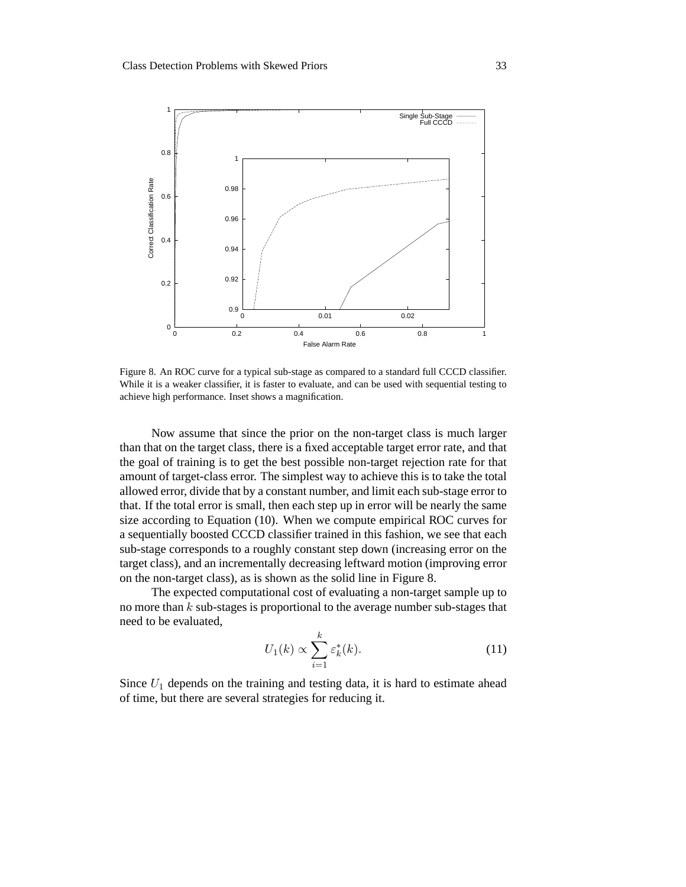

Figure 8. An ROC curve for a typical sub-stage as compared to a standard full CCCD classifier. While it is a weaker classifier, it is faster to evaluate, and can be used with sequential testing to achieve high performance. Inset shows a magnification.

Now assume that since the prior on the non-target class is much larger than that on the target class, there is a fixed acceptable target error rate, and that the goal of training is to get the best possible non-target rejection rate for that amount of target-class error. The simplest way to achieve this is to take the total allowed error, divide that by a constant number, and limit each sub-stage error to that. If the total error is small, then each step up in error will be nearly the same size according to Equation (10). When we compute empirical ROC curves for a sequentially boosted CCCD classifier trained in this fashion, we see that each sub-stage corresponds to a roughly constant step down (increasing error on the target class), and an incrementally decreasing leftward motion (improving error on the non-target class), as is shown as the solid line in Figure 8.

The expected computational cost of evaluating a non-target sample up to no more than  $k$  sub-stages is proportional to the average number sub-stages that need to be evaluated,

$$
U_1(k) \propto \sum_{i=1}^k \varepsilon_k^*(k). \tag{11}
$$

Since  $U_1$  depends on the training and testing data, it is hard to estimate ahead of time, but there are several strategies for reducing it.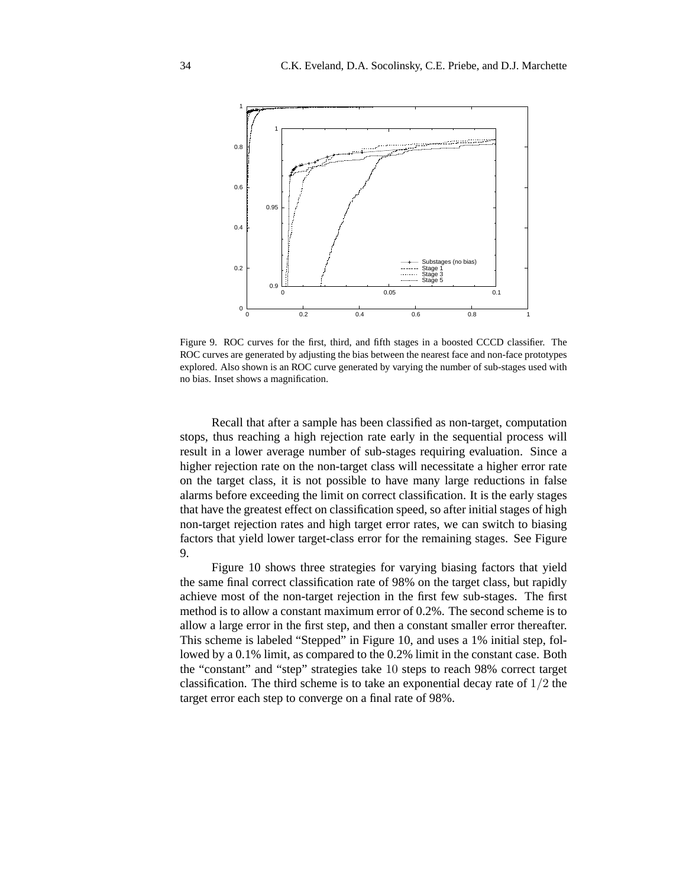

Figure 9. ROC curves for the first, third, and fifth stages in a boosted CCCD classifier. The ROC curves are generated by adjusting the bias between the nearest face and non-face prototypes explored. Also shown is an ROC curve generated by varying the number of sub-stages used with no bias. Inset shows a magnification.

Recall that after a sample has been classified as non-target, computation stops, thus reaching a high rejection rate early in the sequential process will result in a lower average number of sub-stages requiring evaluation. Since a higher rejection rate on the non-target class will necessitate a higher error rate on the target class, it is not possible to have many large reductions in false alarms before exceeding the limit on correct classification. It is the early stages that have the greatest effect on classification speed, so after initial stages of high non-target rejection rates and high target error rates, we can switch to biasing factors that yield lower target-class error for the remaining stages. See Figure 9.

Figure 10 shows three strategies for varying biasing factors that yield the same final correct classification rate of 98% on the target class, but rapidly achieve most of the non-target rejection in the first few sub-stages. The first method is to allow a constant maximum error of 0.2%. The second scheme is to allow a large error in the first step, and then a constant smaller error thereafter. This scheme is labeled "Stepped" in Figure 10, and uses a 1% initial step, followed by a 0.1% limit, as compared to the 0.2% limit in the constant case. Both the "constant" and "step" strategies take 10 steps to reach 98% correct target classification. The third scheme is to take an exponential decay rate of 1/2 the target error each step to converge on a final rate of 98%.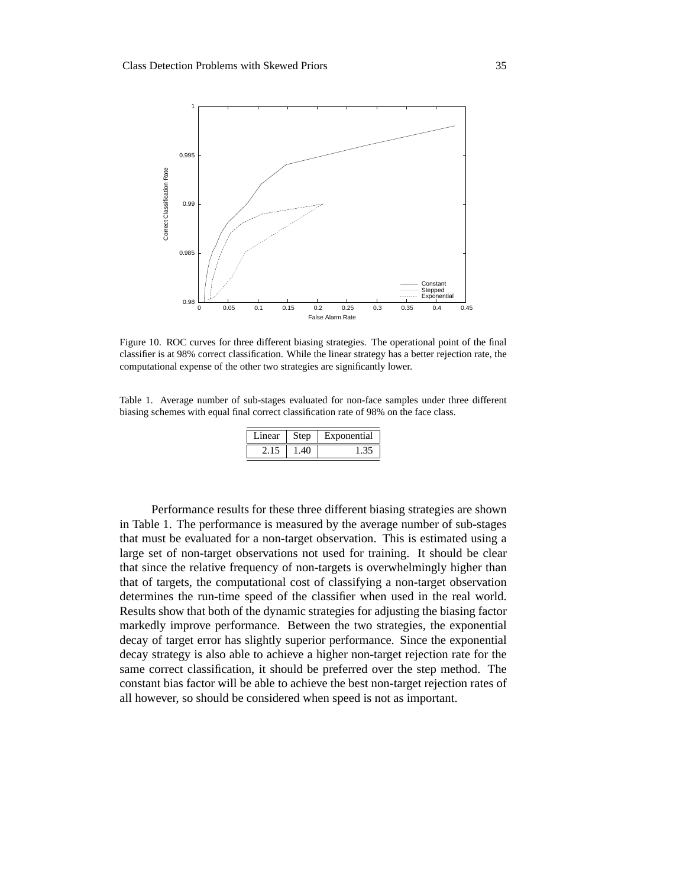

Figure 10. ROC curves for three different biasing strategies. The operational point of the final classifier is at 98% correct classification. While the linear strategy has a better rejection rate, the computational expense of the other two strategies are significantly lower.

Table 1. Average number of sub-stages evaluated for non-face samples under three different biasing schemes with equal final correct classification rate of 98% on the face class.

| Linear | <b>Step</b> | Exponential |
|--------|-------------|-------------|
|        |             |             |

Performance results for these three different biasing strategies are shown in Table 1. The performance is measured by the average number of sub-stages that must be evaluated for a non-target observation. This is estimated using a large set of non-target observations not used for training. It should be clear that since the relative frequency of non-targets is overwhelmingly higher than that of targets, the computational cost of classifying a non-target observation determines the run-time speed of the classifier when used in the real world. Results show that both of the dynamic strategies for adjusting the biasing factor markedly improve performance. Between the two strategies, the exponential decay of target error has slightly superior performance. Since the exponential decay strategy is also able to achieve a higher non-target rejection rate for the same correct classification, it should be preferred over the step method. The constant bias factor will be able to achieve the best non-target rejection rates of all however, so should be considered when speed is not as important.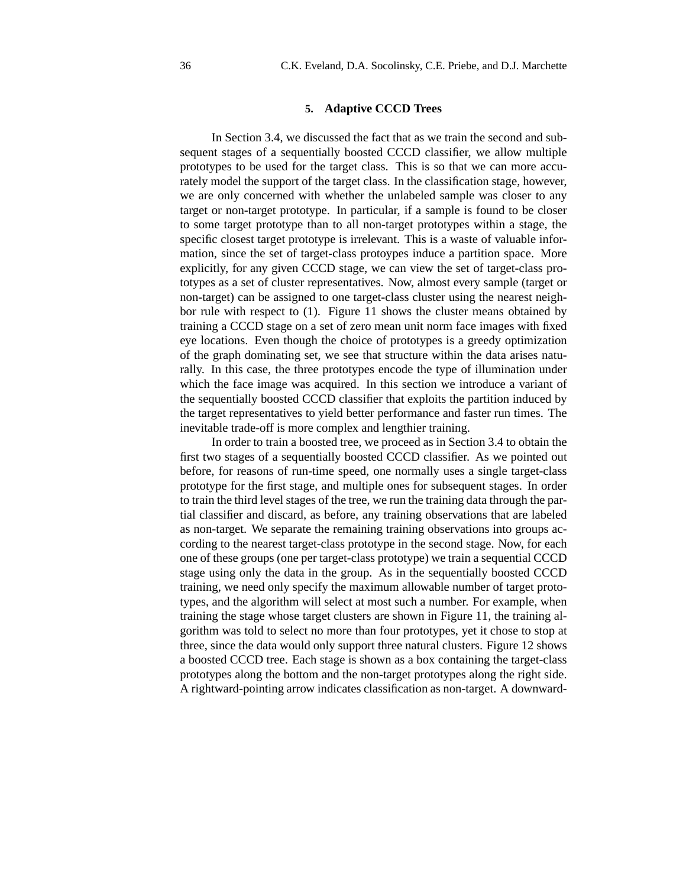## **5. Adaptive CCCD Trees**

In Section 3.4, we discussed the fact that as we train the second and subsequent stages of a sequentially boosted CCCD classifier, we allow multiple prototypes to be used for the target class. This is so that we can more accurately model the support of the target class. In the classification stage, however, we are only concerned with whether the unlabeled sample was closer to any target or non-target prototype. In particular, if a sample is found to be closer to some target prototype than to all non-target prototypes within a stage, the specific closest target prototype is irrelevant. This is a waste of valuable information, since the set of target-class protoypes induce a partition space. More explicitly, for any given CCCD stage, we can view the set of target-class prototypes as a set of cluster representatives. Now, almost every sample (target or non-target) can be assigned to one target-class cluster using the nearest neighbor rule with respect to (1). Figure 11 shows the cluster means obtained by training a CCCD stage on a set of zero mean unit norm face images with fixed eye locations. Even though the choice of prototypes is a greedy optimization of the graph dominating set, we see that structure within the data arises naturally. In this case, the three prototypes encode the type of illumination under which the face image was acquired. In this section we introduce a variant of the sequentially boosted CCCD classifier that exploits the partition induced by the target representatives to yield better performance and faster run times. The inevitable trade-off is more complex and lengthier training.

In order to train a boosted tree, we proceed as in Section 3.4 to obtain the first two stages of a sequentially boosted CCCD classifier. As we pointed out before, for reasons of run-time speed, one normally uses a single target-class prototype for the first stage, and multiple ones for subsequent stages. In order to train the third level stages of the tree, we run the training data through the partial classifier and discard, as before, any training observations that are labeled as non-target. We separate the remaining training observations into groups according to the nearest target-class prototype in the second stage. Now, for each one of these groups (one per target-class prototype) we train a sequential CCCD stage using only the data in the group. As in the sequentially boosted CCCD training, we need only specify the maximum allowable number of target prototypes, and the algorithm will select at most such a number. For example, when training the stage whose target clusters are shown in Figure 11, the training algorithm was told to select no more than four prototypes, yet it chose to stop at three, since the data would only support three natural clusters. Figure 12 shows a boosted CCCD tree. Each stage is shown as a box containing the target-class prototypes along the bottom and the non-target prototypes along the right side. A rightward-pointing arrow indicates classification as non-target. A downward-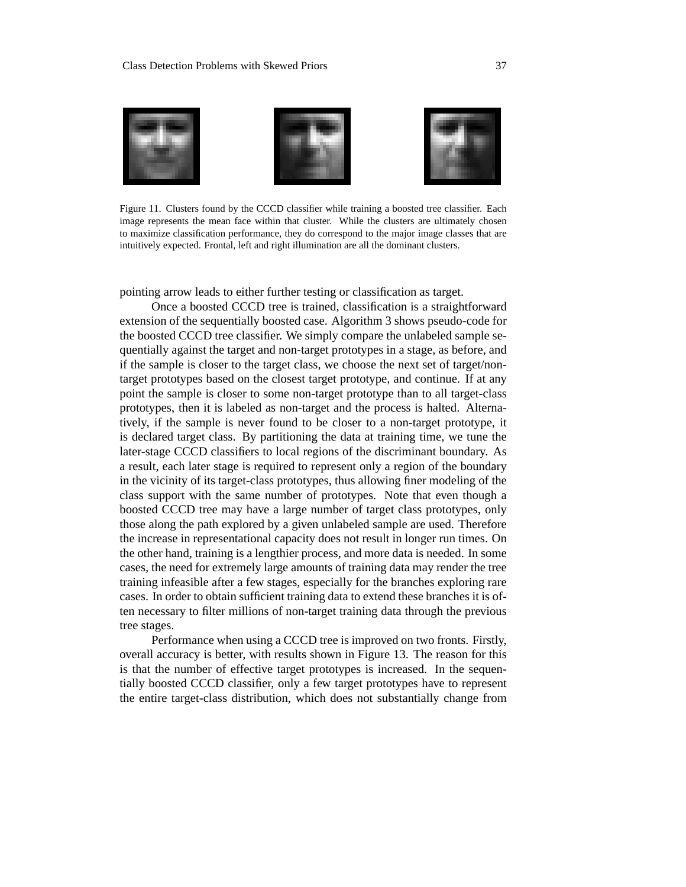

Figure 11. Clusters found by the CCCD classifier while training a boosted tree classifier. Each image represents the mean face within that cluster. While the clusters are ultimately chosen to maximize classification performance, they do correspond to the major image classes that are intuitively expected. Frontal, left and right illumination are all the dominant clusters.

pointing arrow leads to either further testing or classification as target.

Once a boosted CCCD tree is trained, classification is a straightforward extension of the sequentially boosted case. Algorithm 3 shows pseudo-code for the boosted CCCD tree classifier. We simply compare the unlabeled sample sequentially against the target and non-target prototypes in a stage, as before, and if the sample is closer to the target class, we choose the next set of target/nontarget prototypes based on the closest target prototype, and continue. If at any point the sample is closer to some non-target prototype than to all target-class prototypes, then it is labeled as non-target and the process is halted. Alternatively, if the sample is never found to be closer to a non-target prototype, it is declared target class. By partitioning the data at training time, we tune the later-stage CCCD classifiers to local regions of the discriminant boundary. As a result, each later stage is required to represent only a region of the boundary in the vicinity of its target-class prototypes, thus allowing finer modeling of the class support with the same number of prototypes. Note that even though a boosted CCCD tree may have a large number of target class prototypes, only those along the path explored by a given unlabeled sample are used. Therefore the increase in representational capacity does not result in longer run times. On the other hand, training is a lengthier process, and more data is needed. In some cases, the need for extremely large amounts of training data may render the tree training infeasible after a few stages, especially for the branches exploring rare cases. In order to obtain sufficient training data to extend these branches it is often necessary to filter millions of non-target training data through the previous tree stages.

Performance when using a CCCD tree is improved on two fronts. Firstly, overall accuracy is better, with results shown in Figure 13. The reason for this is that the number of effective target prototypes is increased. In the sequentially boosted CCCD classifier, only a few target prototypes have to represent the entire target-class distribution, which does not substantially change from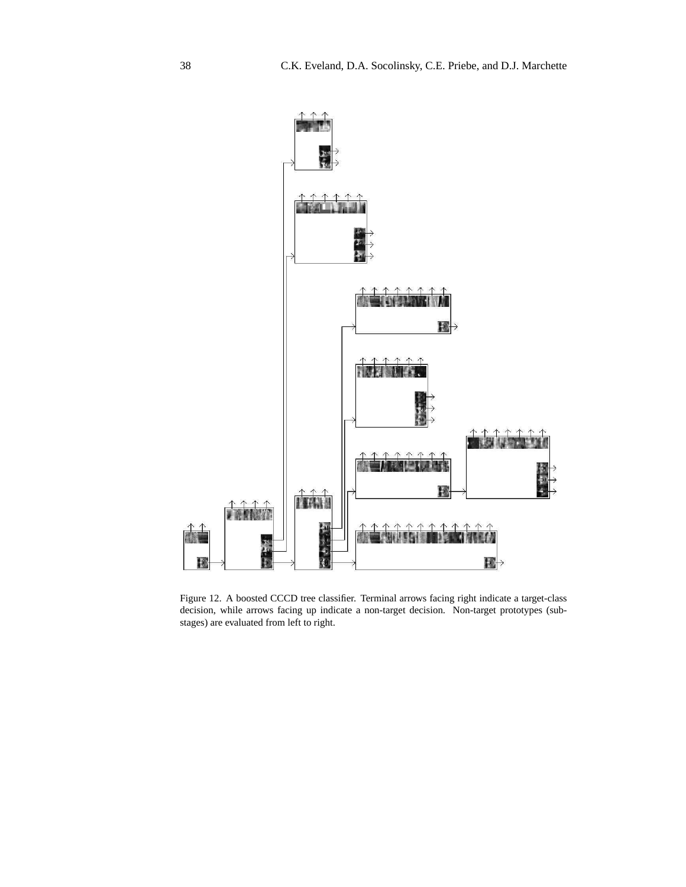

Figure 12. A boosted CCCD tree classifier. Terminal arrows facing right indicate a target-class decision, while arrows facing up indicate a non-target decision. Non-target prototypes (substages) are evaluated from left to right.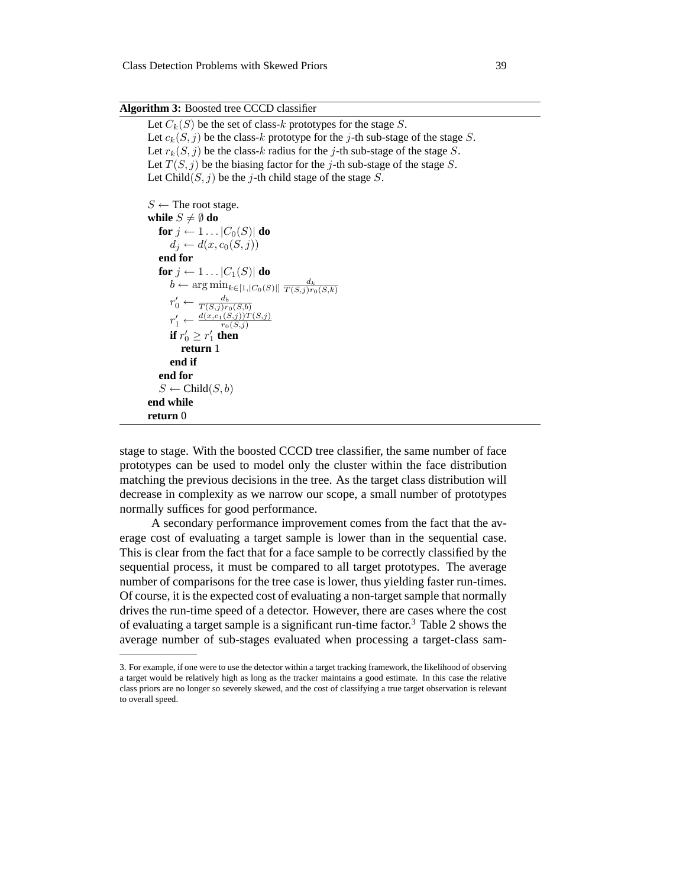**Algorithm 3:** Boosted tree CCCD classifier

Let  $C_k(S)$  be the set of class-k prototypes for the stage S. Let  $c_k(S, j)$  be the class-k prototype for the j-th sub-stage of the stage S. Let  $r_k(S, j)$  be the class-k radius for the j-th sub-stage of the stage S. Let  $T(S, j)$  be the biasing factor for the j-th sub-stage of the stage S. Let Child $(S, j)$  be the j-th child stage of the stage S.

```
S \leftarrow The root stage.
while S \neq \emptyset do
   for j \leftarrow 1 \dots |C_0(S)| do
       d_j \leftarrow d(x, c_0(S, j))end for
   for j \leftarrow 1 \dots |C_1(S)| do
        b \leftarrow \arg \min_{k \in [1, |C_0(S)|]} \frac{d_k}{T(S,j)r_0(S,k)}r'_0 \leftarrow \frac{d_b}{T(S,j)r_0(S,b)}r'_1 \leftarrow \frac{d(x, c_1(S,j))T(S,j)}{r_0(S,j)}if r'_0 \geq r'_1 then
           return 1
       end if
   end for
   S \leftarrow Child(S, b)end while
return 0
```
stage to stage. With the boosted CCCD tree classifier, the same number of face prototypes can be used to model only the cluster within the face distribution matching the previous decisions in the tree. As the target class distribution will decrease in complexity as we narrow our scope, a small number of prototypes normally suffices for good performance.

A secondary performance improvement comes from the fact that the average cost of evaluating a target sample is lower than in the sequential case. This is clear from the fact that for a face sample to be correctly classified by the sequential process, it must be compared to all target prototypes. The average number of comparisons for the tree case is lower, thus yielding faster run-times. Of course, it is the expected cost of evaluating a non-target sample that normally drives the run-time speed of a detector. However, there are cases where the cost of evaluating a target sample is a significant run-time factor. <sup>3</sup> Table 2 shows the average number of sub-stages evaluated when processing a target-class sam-

<sup>3.</sup> For example, if one were to use the detector within a target tracking framework, the likelihood of observing a target would be relatively high as long as the tracker maintains a good estimate. In this case the relative class priors are no longer so severely skewed, and the cost of classifying a true target observation is relevant to overall speed.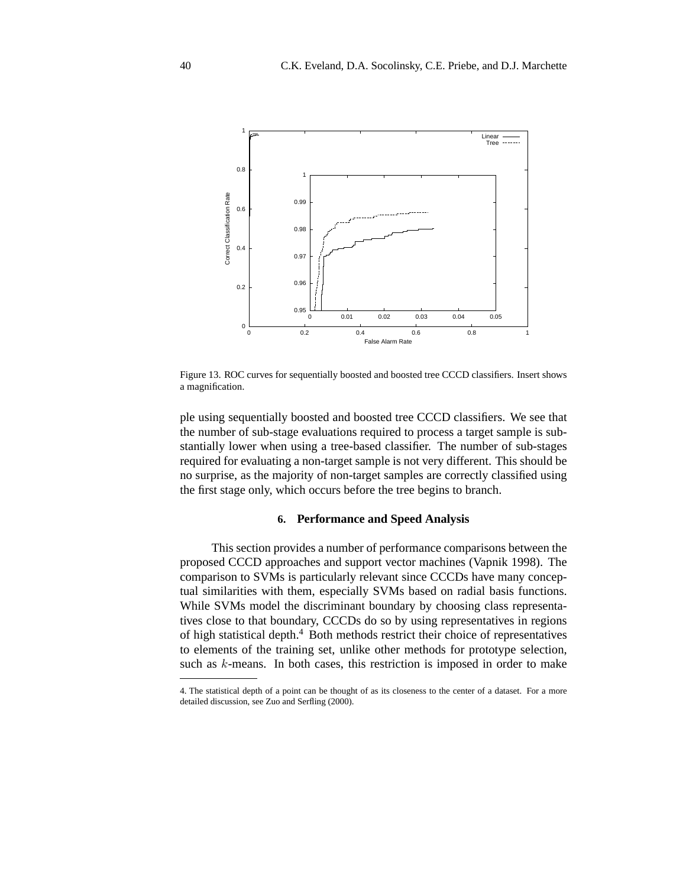

Figure 13. ROC curves for sequentially boosted and boosted tree CCCD classifiers. Insert shows a magnification.

ple using sequentially boosted and boosted tree CCCD classifiers. We see that the number of sub-stage evaluations required to process a target sample is substantially lower when using a tree-based classifier. The number of sub-stages required for evaluating a non-target sample is not very different. This should be no surprise, as the majority of non-target samples are correctly classified using the first stage only, which occurs before the tree begins to branch.

## **6. Performance and Speed Analysis**

This section provides a number of performance comparisons between the proposed CCCD approaches and support vector machines (Vapnik 1998). The comparison to SVMs is particularly relevant since CCCDs have many conceptual similarities with them, especially SVMs based on radial basis functions. While SVMs model the discriminant boundary by choosing class representatives close to that boundary, CCCDs do so by using representatives in regions of high statistical depth.<sup>4</sup> Both methods restrict their choice of representatives to elements of the training set, unlike other methods for prototype selection, such as k-means. In both cases, this restriction is imposed in order to make

<sup>4.</sup> The statistical depth of a point can be thought of as its closeness to the center of a dataset. For a more detailed discussion, see Zuo and Serfling (2000).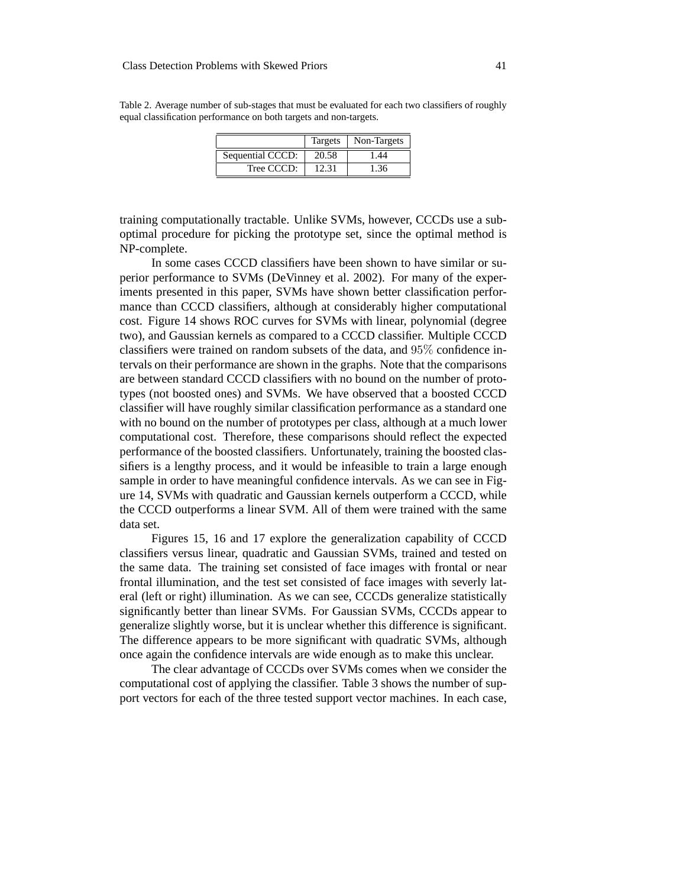|                  | Targets | Non-Targets |
|------------------|---------|-------------|
| Sequential CCCD: | 20.58   | 1.44        |
| Tree CCCD:       | 12.31   | 1.36        |

Table 2. Average number of sub-stages that must be evaluated for each two classifiers of roughly equal classification performance on both targets and non-targets.

training computationally tractable. Unlike SVMs, however, CCCDs use a suboptimal procedure for picking the prototype set, since the optimal method is NP-complete.

In some cases CCCD classifiers have been shown to have similar or superior performance to SVMs (DeVinney et al. 2002). For many of the experiments presented in this paper, SVMs have shown better classification performance than CCCD classifiers, although at considerably higher computational cost. Figure 14 shows ROC curves for SVMs with linear, polynomial (degree two), and Gaussian kernels as compared to a CCCD classifier. Multiple CCCD classifiers were trained on random subsets of the data, and 95% confidence intervals on their performance are shown in the graphs. Note that the comparisons are between standard CCCD classifiers with no bound on the number of prototypes (not boosted ones) and SVMs. We have observed that a boosted CCCD classifier will have roughly similar classification performance as a standard one with no bound on the number of prototypes per class, although at a much lower computational cost. Therefore, these comparisons should reflect the expected performance of the boosted classifiers. Unfortunately, training the boosted classifiers is a lengthy process, and it would be infeasible to train a large enough sample in order to have meaningful confidence intervals. As we can see in Figure 14, SVMs with quadratic and Gaussian kernels outperform a CCCD, while the CCCD outperforms a linear SVM. All of them were trained with the same data set.

Figures 15, 16 and 17 explore the generalization capability of CCCD classifiers versus linear, quadratic and Gaussian SVMs, trained and tested on the same data. The training set consisted of face images with frontal or near frontal illumination, and the test set consisted of face images with severly lateral (left or right) illumination. As we can see, CCCDs generalize statistically significantly better than linear SVMs. For Gaussian SVMs, CCCDs appear to generalize slightly worse, but it is unclear whether this difference is significant. The difference appears to be more significant with quadratic SVMs, although once again the confidence intervals are wide enough as to make this unclear.

The clear advantage of CCCDs over SVMs comes when we consider the computational cost of applying the classifier. Table 3 shows the number of support vectors for each of the three tested support vector machines. In each case,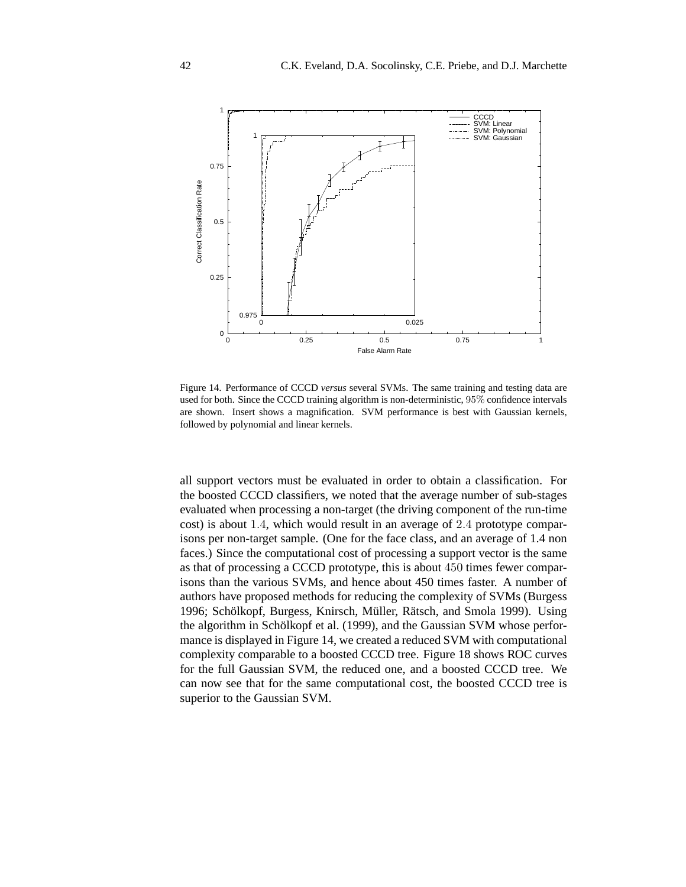

Figure 14. Performance of CCCD *versus* several SVMs. The same training and testing data are used for both. Since the CCCD training algorithm is non-deterministic, 95% confidence intervals are shown. Insert shows a magnification. SVM performance is best with Gaussian kernels, followed by polynomial and linear kernels.

all support vectors must be evaluated in order to obtain a classification. For the boosted CCCD classifiers, we noted that the average number of sub-stages evaluated when processing a non-target (the driving component of the run-time cost) is about 1.4, which would result in an average of 2.4 prototype comparisons per non-target sample. (One for the face class, and an average of 1.4 non faces.) Since the computational cost of processing a support vector is the same as that of processing a CCCD prototype, this is about 450 times fewer comparisons than the various SVMs, and hence about 450 times faster. A number of authors have proposed methods for reducing the complexity of SVMs (Burgess 1996; Schölkopf, Burgess, Knirsch, Müller, Rätsch, and Smola 1999). Using the algorithm in Schölkopf et al. (1999), and the Gaussian SVM whose performance is displayed in Figure 14, we created a reduced SVM with computational complexity comparable to a boosted CCCD tree. Figure 18 shows ROC curves for the full Gaussian SVM, the reduced one, and a boosted CCCD tree. We can now see that for the same computational cost, the boosted CCCD tree is superior to the Gaussian SVM.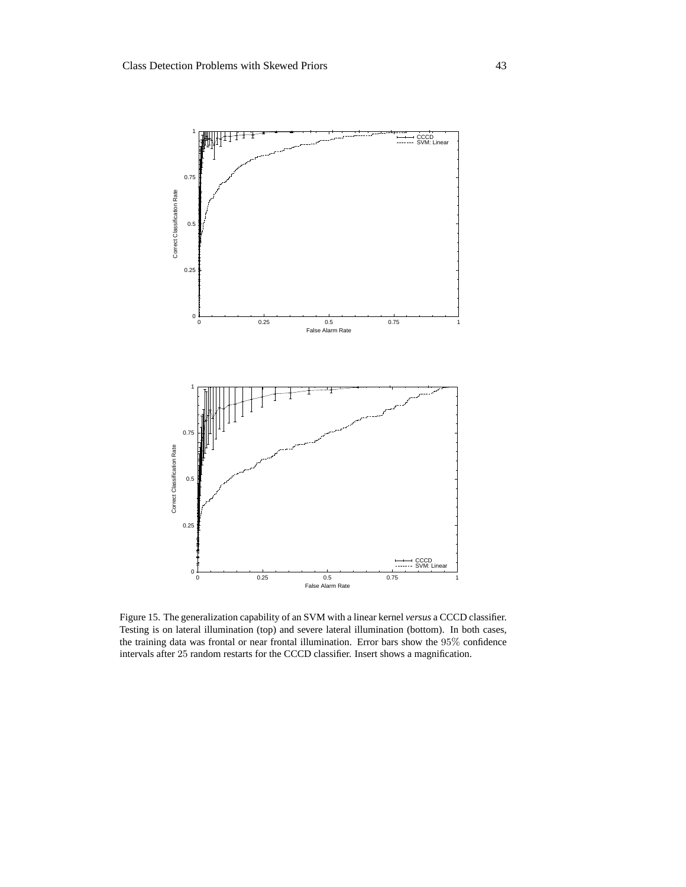

Figure 15. The generalization capability of an SVM with a linear kernel *versus* a CCCD classifier. Testing is on lateral illumination (top) and severe lateral illumination (bottom). In both cases, the training data was frontal or near frontal illumination. Error bars show the 95% confidence intervals after 25 random restarts for the CCCD classifier. Insert shows a magnification.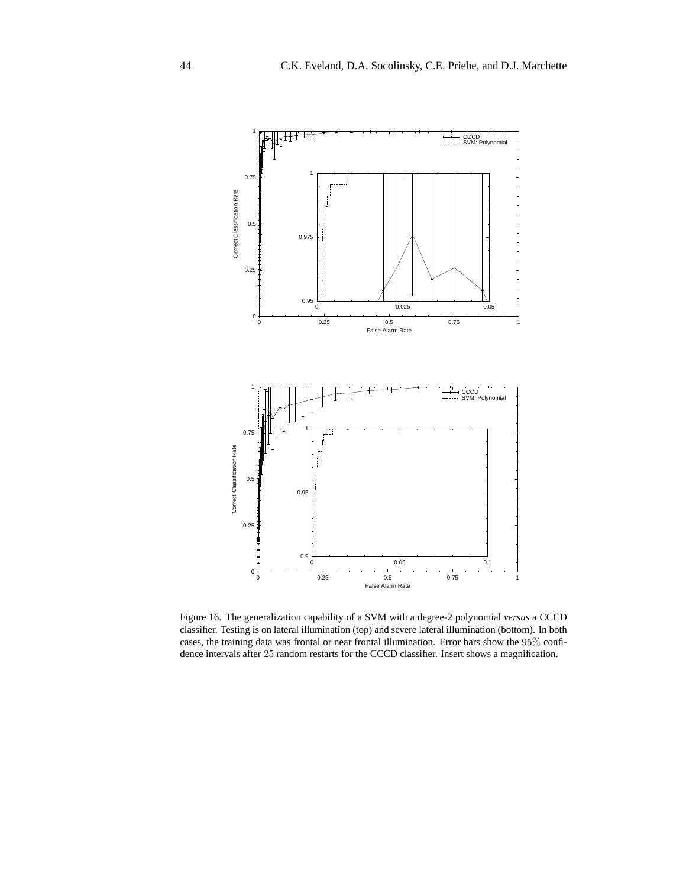

Figure 16. The generalization capability of a SVM with a degree-2 polynomial *versus* a CCCD classifier. Testing is on lateral illumination (top) and severe lateral illumination (bottom). In both cases, the training data was frontal or near frontal illumination. Error bars show the 95% confidence intervals after 25 random restarts for the CCCD classifier. Insert shows a magnification.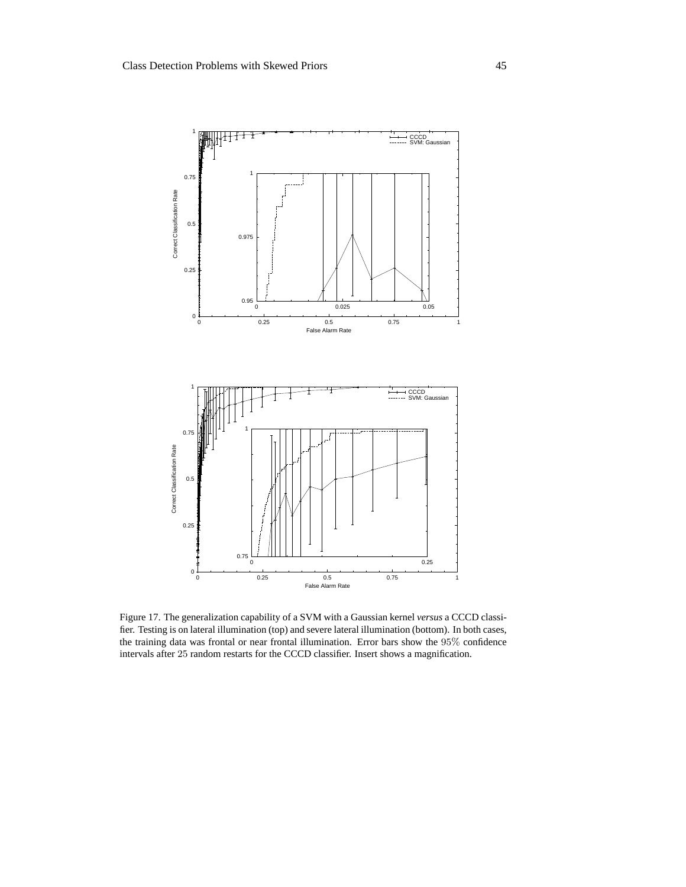

Figure 17. The generalization capability of a SVM with a Gaussian kernel *versus* a CCCD classifier. Testing is on lateral illumination (top) and severe lateral illumination (bottom). In both cases, the training data was frontal or near frontal illumination. Error bars show the 95% confidence intervals after 25 random restarts for the CCCD classifier. Insert shows a magnification.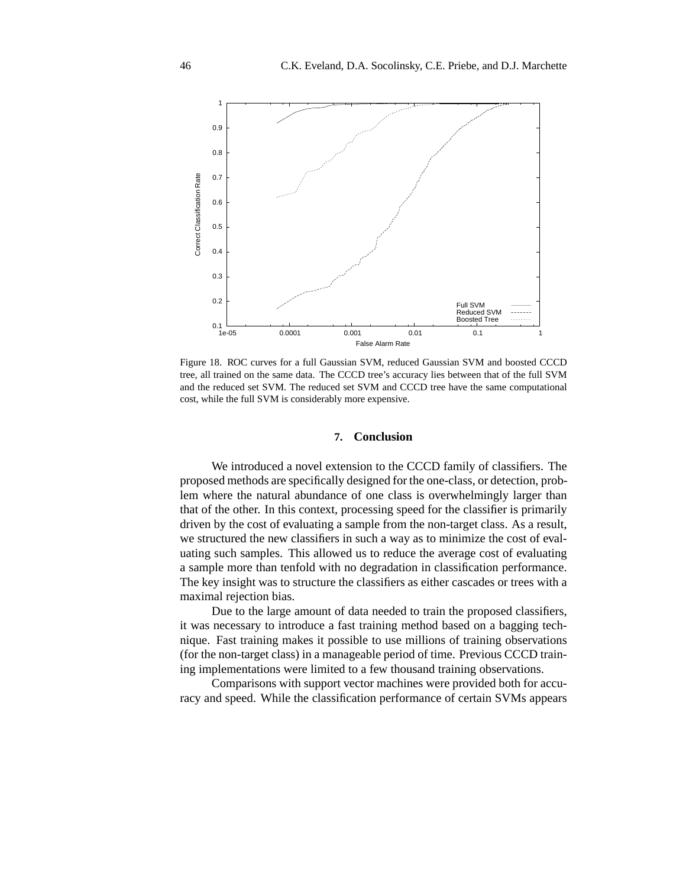

Figure 18. ROC curves for a full Gaussian SVM, reduced Gaussian SVM and boosted CCCD tree, all trained on the same data. The CCCD tree's accuracy lies between that of the full SVM and the reduced set SVM. The reduced set SVM and CCCD tree have the same computational cost, while the full SVM is considerably more expensive.

## **7. Conclusion**

We introduced a novel extension to the CCCD family of classifiers. The proposed methods are specifically designed for the one-class, or detection, problem where the natural abundance of one class is overwhelmingly larger than that of the other. In this context, processing speed for the classifier is primarily driven by the cost of evaluating a sample from the non-target class. As a result, we structured the new classifiers in such a way as to minimize the cost of evaluating such samples. This allowed us to reduce the average cost of evaluating a sample more than tenfold with no degradation in classification performance. The key insight was to structure the classifiers as either cascades or trees with a maximal rejection bias.

Due to the large amount of data needed to train the proposed classifiers, it was necessary to introduce a fast training method based on a bagging technique. Fast training makes it possible to use millions of training observations (for the non-target class) in a manageable period of time. Previous CCCD training implementations were limited to a few thousand training observations.

Comparisons with support vector machines were provided both for accuracy and speed. While the classification performance of certain SVMs appears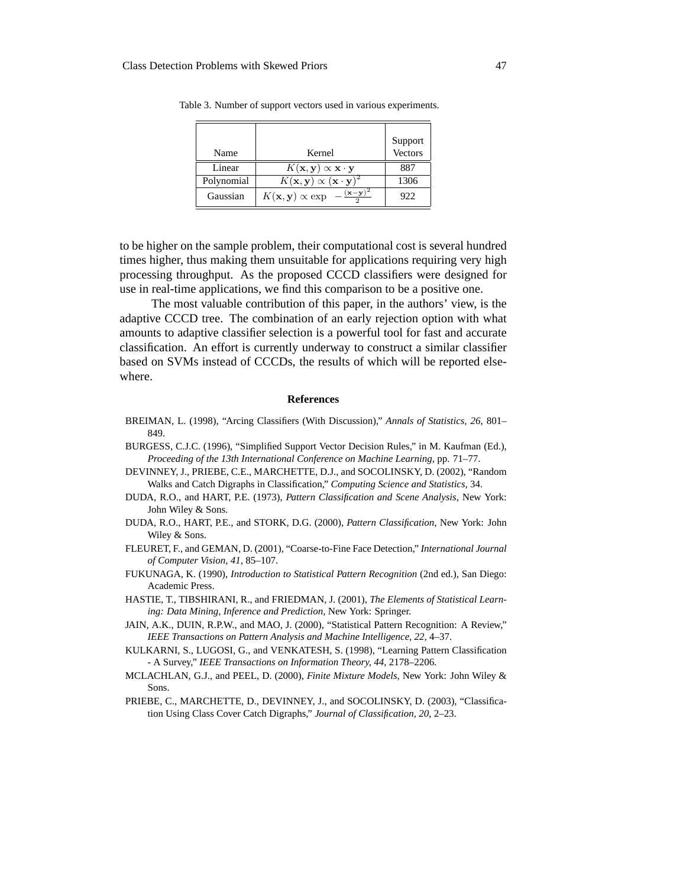| Name       | Kernel                                                              | Support<br>Vectors |
|------------|---------------------------------------------------------------------|--------------------|
| Linear     | $K(\mathbf{x}, \mathbf{y}) \propto \mathbf{x} \cdot \mathbf{y}$     | 887                |
| Polynomial | $K(\mathbf{x}, \mathbf{y}) \propto (\mathbf{x} \cdot \mathbf{y})^2$ | 1306               |
| Gaussian   | $(x-y)^2$<br>$K(\mathbf{x}, \mathbf{y}) \propto \exp$               | 922                |

Table 3. Number of support vectors used in various experiments.

to be higher on the sample problem, their computational cost is several hundred times higher, thus making them unsuitable for applications requiring very high processing throughput. As the proposed CCCD classifiers were designed for use in real-time applications, we find this comparison to be a positive one.

The most valuable contribution of this paper, in the authors' view, is the adaptive CCCD tree. The combination of an early rejection option with what amounts to adaptive classifier selection is a powerful tool for fast and accurate classification. An effort is currently underway to construct a similar classifier based on SVMs instead of CCCDs, the results of which will be reported elsewhere.

#### **References**

- BREIMAN, L. (1998), "Arcing Classifiers (With Discussion)," *Annals of Statistics, 26*, 801– 849.
- BURGESS, C.J.C. (1996), "Simplified Support Vector Decision Rules," in M. Kaufman (Ed.), *Proceeding of the 13th International Conference on Machine Learning*, pp. 71–77.
- DEVINNEY, J., PRIEBE, C.E., MARCHETTE, D.J., and SOCOLINSKY, D. (2002), "Random Walks and Catch Digraphs in Classification," *Computing Science and Statistics,* 34.
- DUDA, R.O., and HART, P.E. (1973), *Pattern Classification and Scene Analysis*, New York: John Wiley & Sons.
- DUDA, R.O., HART, P.E., and STORK, D.G. (2000), *Pattern Classification*, New York: John Wiley & Sons.
- FLEURET, F., and GEMAN, D. (2001), "Coarse-to-Fine Face Detection," *International Journal of Computer Vision, 41*, 85–107.
- FUKUNAGA, K. (1990), *Introduction to Statistical Pattern Recognition* (2nd ed.), San Diego: Academic Press.
- HASTIE, T., TIBSHIRANI, R., and FRIEDMAN, J. (2001), *The Elements of Statistical Learning: Data Mining, Inference and Prediction*, New York: Springer.
- JAIN, A.K., DUIN, R.P.W., and MAO, J. (2000), "Statistical Pattern Recognition: A Review," *IEEE Transactions on Pattern Analysis and Machine Intelligence, 22*, 4–37.
- KULKARNI, S., LUGOSI, G., and VENKATESH, S. (1998), "Learning Pattern Classification - A Survey," *IEEE Transactions on Information Theory, 44*, 2178–2206.
- MCLACHLAN, G.J., and PEEL, D. (2000), *Finite Mixture Models*, New York: John Wiley & Sons.
- PRIEBE, C., MARCHETTE, D., DEVINNEY, J., and SOCOLINSKY, D. (2003), "Classification Using Class Cover Catch Digraphs," *Journal of Classification, 20*, 2–23.